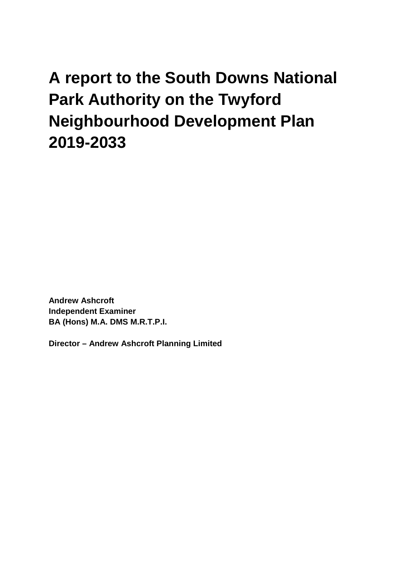**A report to the South Downs National Park Authority on the Twyford Neighbourhood Development Plan 2019-2033**

**Andrew Ashcroft Independent Examiner BA (Hons) M.A. DMS M.R.T.P.I.**

**Director – Andrew Ashcroft Planning Limited**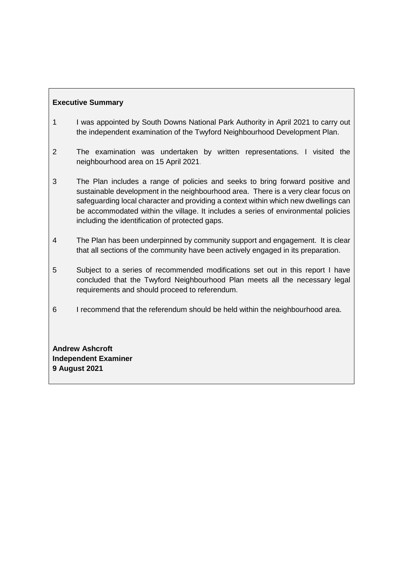# **Executive Summary**

- 1 I was appointed by South Downs National Park Authority in April 2021 to carry out the independent examination of the Twyford Neighbourhood Development Plan.
- 2 The examination was undertaken by written representations. I visited the neighbourhood area on 15 April 2021.
- 3 The Plan includes a range of policies and seeks to bring forward positive and sustainable development in the neighbourhood area. There is a very clear focus on safeguarding local character and providing a context within which new dwellings can be accommodated within the village. It includes a series of environmental policies including the identification of protected gaps.
- 4 The Plan has been underpinned by community support and engagement. It is clear that all sections of the community have been actively engaged in its preparation.
- 5 Subject to a series of recommended modifications set out in this report I have concluded that the Twyford Neighbourhood Plan meets all the necessary legal requirements and should proceed to referendum.
- 6 I recommend that the referendum should be held within the neighbourhood area.

**Andrew Ashcroft Independent Examiner 9 August 2021**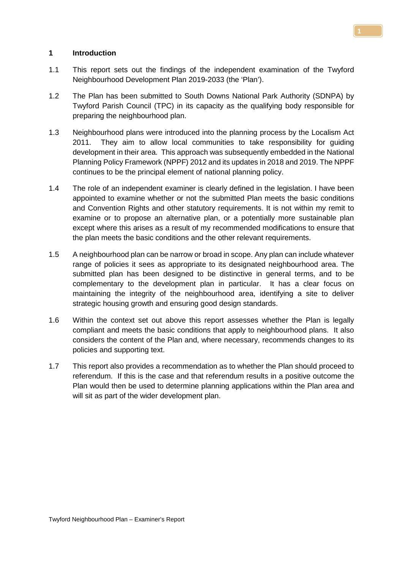### **1 Introduction**

- 1.1 This report sets out the findings of the independent examination of the Twyford Neighbourhood Development Plan 2019-2033 (the 'Plan').
- 1.2 The Plan has been submitted to South Downs National Park Authority (SDNPA) by Twyford Parish Council (TPC) in its capacity as the qualifying body responsible for preparing the neighbourhood plan.
- 1.3 Neighbourhood plans were introduced into the planning process by the Localism Act 2011. They aim to allow local communities to take responsibility for guiding development in their area. This approach was subsequently embedded in the National Planning Policy Framework (NPPF) 2012 and its updates in 2018 and 2019. The NPPF continues to be the principal element of national planning policy.
- 1.4 The role of an independent examiner is clearly defined in the legislation. I have been appointed to examine whether or not the submitted Plan meets the basic conditions and Convention Rights and other statutory requirements. It is not within my remit to examine or to propose an alternative plan, or a potentially more sustainable plan except where this arises as a result of my recommended modifications to ensure that the plan meets the basic conditions and the other relevant requirements.
- 1.5 A neighbourhood plan can be narrow or broad in scope. Any plan can include whatever range of policies it sees as appropriate to its designated neighbourhood area. The submitted plan has been designed to be distinctive in general terms, and to be complementary to the development plan in particular. It has a clear focus on maintaining the integrity of the neighbourhood area, identifying a site to deliver strategic housing growth and ensuring good design standards.
- 1.6 Within the context set out above this report assesses whether the Plan is legally compliant and meets the basic conditions that apply to neighbourhood plans. It also considers the content of the Plan and, where necessary, recommends changes to its policies and supporting text.
- 1.7 This report also provides a recommendation as to whether the Plan should proceed to referendum. If this is the case and that referendum results in a positive outcome the Plan would then be used to determine planning applications within the Plan area and will sit as part of the wider development plan.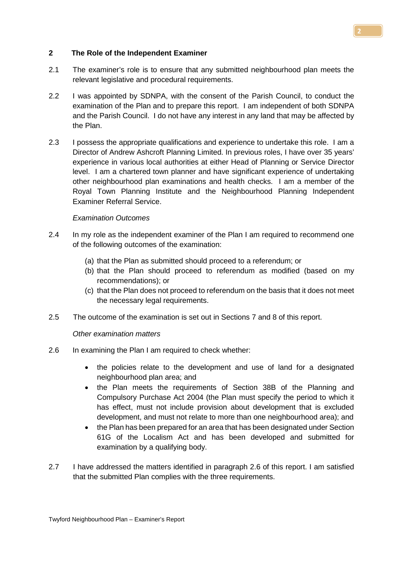### **2 The Role of the Independent Examiner**

- 2.1 The examiner's role is to ensure that any submitted neighbourhood plan meets the relevant legislative and procedural requirements.
- 2.2 I was appointed by SDNPA, with the consent of the Parish Council, to conduct the examination of the Plan and to prepare this report. I am independent of both SDNPA and the Parish Council. I do not have any interest in any land that may be affected by the Plan.
- 2.3 I possess the appropriate qualifications and experience to undertake this role. I am a Director of Andrew Ashcroft Planning Limited. In previous roles, I have over 35 years' experience in various local authorities at either Head of Planning or Service Director level. I am a chartered town planner and have significant experience of undertaking other neighbourhood plan examinations and health checks. I am a member of the Royal Town Planning Institute and the Neighbourhood Planning Independent Examiner Referral Service.

### *Examination Outcomes*

- 2.4 In my role as the independent examiner of the Plan I am required to recommend one of the following outcomes of the examination:
	- (a) that the Plan as submitted should proceed to a referendum; or
	- (b) that the Plan should proceed to referendum as modified (based on my recommendations); or
	- (c) that the Plan does not proceed to referendum on the basis that it does not meet the necessary legal requirements.
- 2.5 The outcome of the examination is set out in Sections 7 and 8 of this report.

#### *Other examination matters*

- 2.6 In examining the Plan I am required to check whether:
	- the policies relate to the development and use of land for a designated neighbourhood plan area; and
	- the Plan meets the requirements of Section 38B of the Planning and Compulsory Purchase Act 2004 (the Plan must specify the period to which it has effect, must not include provision about development that is excluded development, and must not relate to more than one neighbourhood area); and
	- the Plan has been prepared for an area that has been designated under Section 61G of the Localism Act and has been developed and submitted for examination by a qualifying body.
- 2.7 I have addressed the matters identified in paragraph 2.6 of this report. I am satisfied that the submitted Plan complies with the three requirements.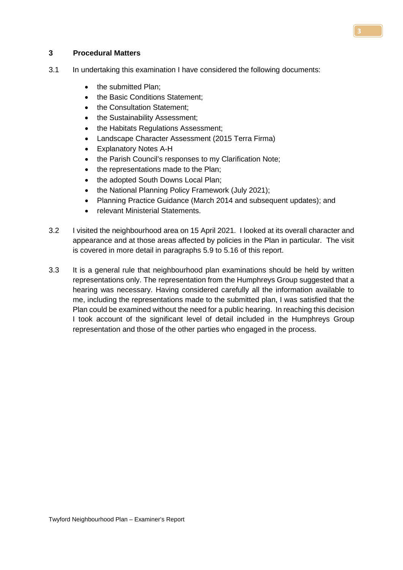### **3 Procedural Matters**

- 3.1 In undertaking this examination I have considered the following documents:
	- the submitted Plan;
	- the Basic Conditions Statement;
	- the Consultation Statement;
	- the Sustainability Assessment;
	- the Habitats Regulations Assessment;
	- Landscape Character Assessment (2015 Terra Firma)
	- Explanatory Notes A-H
	- the Parish Council's responses to my Clarification Note;
	- the representations made to the Plan;
	- the adopted South Downs Local Plan;
	- the National Planning Policy Framework (July 2021);
	- Planning Practice Guidance (March 2014 and subsequent updates); and
	- relevant Ministerial Statements.
- 3.2 I visited the neighbourhood area on 15 April 2021. I looked at its overall character and appearance and at those areas affected by policies in the Plan in particular. The visit is covered in more detail in paragraphs 5.9 to 5.16 of this report.
- 3.3 It is a general rule that neighbourhood plan examinations should be held by written representations only. The representation from the Humphreys Group suggested that a hearing was necessary. Having considered carefully all the information available to me, including the representations made to the submitted plan, I was satisfied that the Plan could be examined without the need for a public hearing. In reaching this decision I took account of the significant level of detail included in the Humphreys Group representation and those of the other parties who engaged in the process.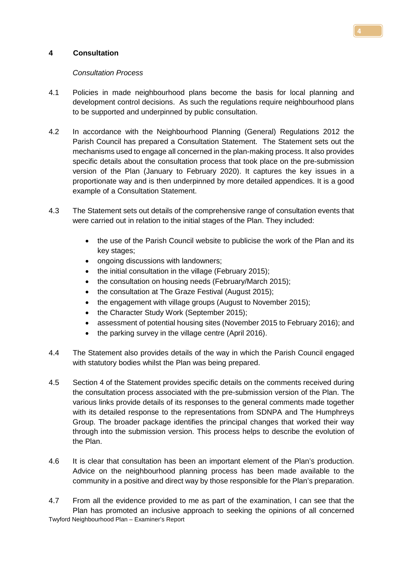## **4 Consultation**

### *Consultation Process*

- 4.1 Policies in made neighbourhood plans become the basis for local planning and development control decisions. As such the regulations require neighbourhood plans to be supported and underpinned by public consultation.
- 4.2 In accordance with the Neighbourhood Planning (General) Regulations 2012 the Parish Council has prepared a Consultation Statement. The Statement sets out the mechanisms used to engage all concerned in the plan-making process. It also provides specific details about the consultation process that took place on the pre-submission version of the Plan (January to February 2020). It captures the key issues in a proportionate way and is then underpinned by more detailed appendices. It is a good example of a Consultation Statement.
- 4.3 The Statement sets out details of the comprehensive range of consultation events that were carried out in relation to the initial stages of the Plan. They included:
	- the use of the Parish Council website to publicise the work of the Plan and its key stages;
	- ongoing discussions with landowners;
	- the initial consultation in the village (February 2015):
	- the consultation on housing needs (February/March 2015);
	- the consultation at The Graze Festival (August 2015);
	- the engagement with village groups (August to November 2015);
	- the Character Study Work (September 2015);
	- assessment of potential housing sites (November 2015 to February 2016); and
	- the parking survey in the village centre (April 2016).
- 4.4 The Statement also provides details of the way in which the Parish Council engaged with statutory bodies whilst the Plan was being prepared.
- 4.5 Section 4 of the Statement provides specific details on the comments received during the consultation process associated with the pre-submission version of the Plan. The various links provide details of its responses to the general comments made together with its detailed response to the representations from SDNPA and The Humphreys Group. The broader package identifies the principal changes that worked their way through into the submission version. This process helps to describe the evolution of the Plan.
- 4.6 It is clear that consultation has been an important element of the Plan's production. Advice on the neighbourhood planning process has been made available to the community in a positive and direct way by those responsible for the Plan's preparation.

Twyford Neighbourhood Plan – Examiner's Report 4.7 From all the evidence provided to me as part of the examination, I can see that the Plan has promoted an inclusive approach to seeking the opinions of all concerned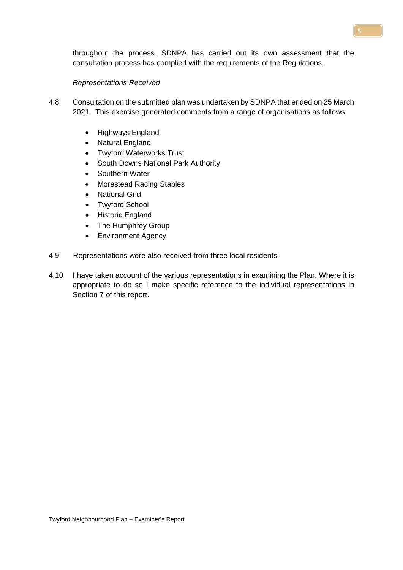throughout the process. SDNPA has carried out its own assessment that the consultation process has complied with the requirements of the Regulations.

### *Representations Received*

- 4.8 Consultation on the submitted plan was undertaken by SDNPA that ended on 25 March 2021. This exercise generated comments from a range of organisations as follows:
	- Highways England
	- Natural England
	- Twyford Waterworks Trust
	- South Downs National Park Authority
	- Southern Water
	- Morestead Racing Stables
	- National Grid
	- Twyford School
	- Historic England
	- The Humphrey Group
	- Environment Agency
- 4.9 Representations were also received from three local residents.
- 4.10 I have taken account of the various representations in examining the Plan. Where it is appropriate to do so I make specific reference to the individual representations in Section 7 of this report.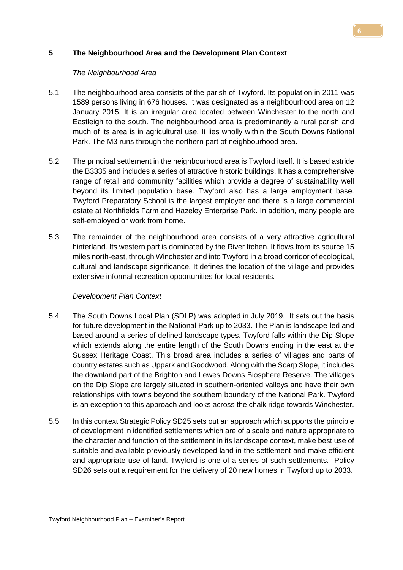# **5 The Neighbourhood Area and the Development Plan Context**

### *The Neighbourhood Area*

- 5.1 The neighbourhood area consists of the parish of Twyford. Its population in 2011 was 1589 persons living in 676 houses. It was designated as a neighbourhood area on 12 January 2015. It is an irregular area located between Winchester to the north and Eastleigh to the south. The neighbourhood area is predominantly a rural parish and much of its area is in agricultural use. It lies wholly within the South Downs National Park. The M3 runs through the northern part of neighbourhood area.
- 5.2 The principal settlement in the neighbourhood area is Twyford itself. It is based astride the B3335 and includes a series of attractive historic buildings. It has a comprehensive range of retail and community facilities which provide a degree of sustainability well beyond its limited population base. Twyford also has a large employment base. Twyford Preparatory School is the largest employer and there is a large commercial estate at Northfields Farm and Hazeley Enterprise Park. In addition, many people are self-employed or work from home.
- 5.3 The remainder of the neighbourhood area consists of a very attractive agricultural hinterland. Its western part is dominated by the River Itchen. It flows from its source 15 miles north-east, through Winchester and into Twyford in a broad corridor of ecological, cultural and landscape significance. It defines the location of the village and provides extensive informal recreation opportunities for local residents.

### *Development Plan Context*

- 5.4 The South Downs Local Plan (SDLP) was adopted in July 2019. It sets out the basis for future development in the National Park up to 2033. The Plan is landscape-led and based around a series of defined landscape types. Twyford falls within the Dip Slope which extends along the entire length of the South Downs ending in the east at the Sussex Heritage Coast. This broad area includes a series of villages and parts of country estates such as Uppark and Goodwood. Along with the Scarp Slope, it includes the downland part of the Brighton and Lewes Downs Biosphere Reserve. The villages on the Dip Slope are largely situated in southern-oriented valleys and have their own relationships with towns beyond the southern boundary of the National Park. Twyford is an exception to this approach and looks across the chalk ridge towards Winchester.
- 5.5 In this context Strategic Policy SD25 sets out an approach which supports the principle of development in identified settlements which are of a scale and nature appropriate to the character and function of the settlement in its landscape context, make best use of suitable and available previously developed land in the settlement and make efficient and appropriate use of land. Twyford is one of a series of such settlements. Policy SD26 sets out a requirement for the delivery of 20 new homes in Twyford up to 2033.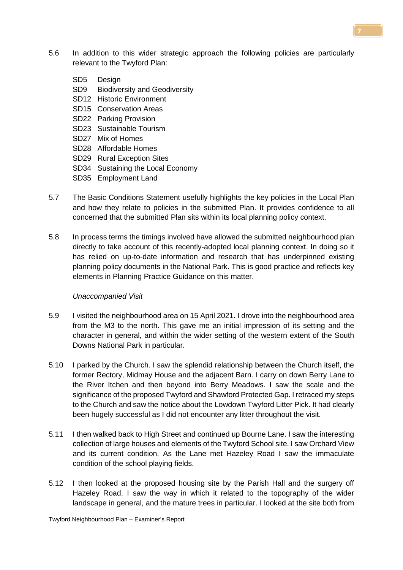- 5.6 In addition to this wider strategic approach the following policies are particularly relevant to the Twyford Plan:
	- SD5 Design
	- SD9 Biodiversity and Geodiversity
	- SD12 Historic Environment
	- SD15 Conservation Areas
	- SD22 Parking Provision
	- SD23 Sustainable Tourism
	- SD27 Mix of Homes
	- SD28 Affordable Homes
	- SD29 Rural Exception Sites
	- SD34 Sustaining the Local Economy
	- SD35 Employment Land
- 5.7 The Basic Conditions Statement usefully highlights the key policies in the Local Plan and how they relate to policies in the submitted Plan. It provides confidence to all concerned that the submitted Plan sits within its local planning policy context.
- 5.8 In process terms the timings involved have allowed the submitted neighbourhood plan directly to take account of this recently-adopted local planning context. In doing so it has relied on up-to-date information and research that has underpinned existing planning policy documents in the National Park. This is good practice and reflects key elements in Planning Practice Guidance on this matter.

### *Unaccompanied Visit*

- 5.9 I visited the neighbourhood area on 15 April 2021. I drove into the neighbourhood area from the M3 to the north. This gave me an initial impression of its setting and the character in general, and within the wider setting of the western extent of the South Downs National Park in particular.
- 5.10 I parked by the Church. I saw the splendid relationship between the Church itself, the former Rectory, Midmay House and the adjacent Barn. I carry on down Berry Lane to the River Itchen and then beyond into Berry Meadows. I saw the scale and the significance of the proposed Twyford and Shawford Protected Gap. I retraced my steps to the Church and saw the notice about the Lowdown Twyford Litter Pick. It had clearly been hugely successful as I did not encounter any litter throughout the visit.
- 5.11 I then walked back to High Street and continued up Bourne Lane. I saw the interesting collection of large houses and elements of the Twyford School site. I saw Orchard View and its current condition. As the Lane met Hazeley Road I saw the immaculate condition of the school playing fields.
- 5.12 I then looked at the proposed housing site by the Parish Hall and the surgery off Hazeley Road. I saw the way in which it related to the topography of the wider landscape in general, and the mature trees in particular. I looked at the site both from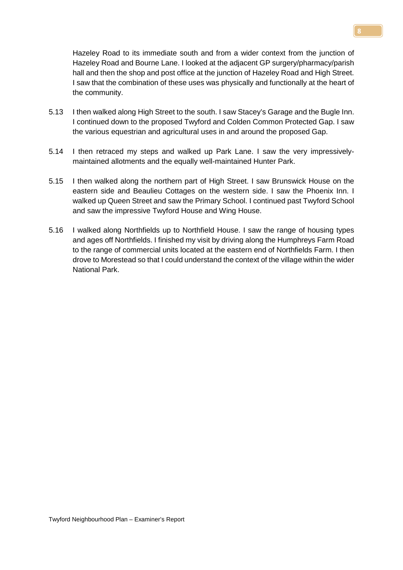Hazeley Road to its immediate south and from a wider context from the junction of Hazeley Road and Bourne Lane. I looked at the adjacent GP surgery/pharmacy/parish hall and then the shop and post office at the junction of Hazeley Road and High Street. I saw that the combination of these uses was physically and functionally at the heart of the community.

- 5.13 I then walked along High Street to the south. I saw Stacey's Garage and the Bugle Inn. I continued down to the proposed Twyford and Colden Common Protected Gap. I saw the various equestrian and agricultural uses in and around the proposed Gap.
- 5.14 I then retraced my steps and walked up Park Lane. I saw the very impressivelymaintained allotments and the equally well-maintained Hunter Park.
- 5.15 I then walked along the northern part of High Street. I saw Brunswick House on the eastern side and Beaulieu Cottages on the western side. I saw the Phoenix Inn. I walked up Queen Street and saw the Primary School. I continued past Twyford School and saw the impressive Twyford House and Wing House.
- 5.16 I walked along Northfields up to Northfield House. I saw the range of housing types and ages off Northfields. I finished my visit by driving along the Humphreys Farm Road to the range of commercial units located at the eastern end of Northfields Farm. I then drove to Morestead so that I could understand the context of the village within the wider National Park.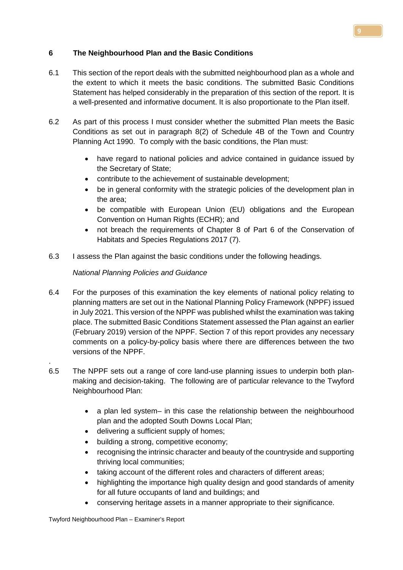# **6 The Neighbourhood Plan and the Basic Conditions**

- 6.1 This section of the report deals with the submitted neighbourhood plan as a whole and the extent to which it meets the basic conditions. The submitted Basic Conditions Statement has helped considerably in the preparation of this section of the report. It is a well-presented and informative document. It is also proportionate to the Plan itself.
- 6.2 As part of this process I must consider whether the submitted Plan meets the Basic Conditions as set out in paragraph 8(2) of Schedule 4B of the Town and Country Planning Act 1990. To comply with the basic conditions, the Plan must:
	- have regard to national policies and advice contained in guidance issued by the Secretary of State;
	- contribute to the achievement of sustainable development;
	- be in general conformity with the strategic policies of the development plan in the area;
	- be compatible with European Union (EU) obligations and the European Convention on Human Rights (ECHR); and
	- not breach the requirements of Chapter 8 of Part 6 of the Conservation of Habitats and Species Regulations 2017 (7).
- 6.3 I assess the Plan against the basic conditions under the following headings.

# *National Planning Policies and Guidance*

- 6.4 For the purposes of this examination the key elements of national policy relating to planning matters are set out in the National Planning Policy Framework (NPPF) issued in July 2021. This version of the NPPF was published whilst the examination was taking place. The submitted Basic Conditions Statement assessed the Plan against an earlier (February 2019) version of the NPPF. Section 7 of this report provides any necessary comments on a policy-by-policy basis where there are differences between the two versions of the NPPF.
- 6.5 The NPPF sets out a range of core land-use planning issues to underpin both planmaking and decision-taking. The following are of particular relevance to the Twyford Neighbourhood Plan:
	- a plan led system– in this case the relationship between the neighbourhood plan and the adopted South Downs Local Plan;
	- delivering a sufficient supply of homes;
	- building a strong, competitive economy;
	- recognising the intrinsic character and beauty of the countryside and supporting thriving local communities;
	- taking account of the different roles and characters of different areas:
	- highlighting the importance high quality design and good standards of amenity for all future occupants of land and buildings; and
	- conserving heritage assets in a manner appropriate to their significance.

.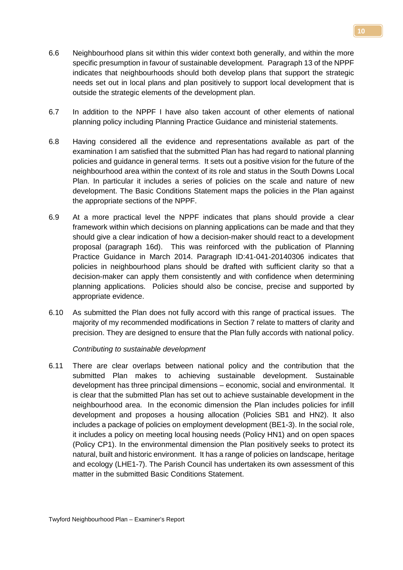- **10**
- 6.6 Neighbourhood plans sit within this wider context both generally, and within the more specific presumption in favour of sustainable development. Paragraph 13 of the NPPF indicates that neighbourhoods should both develop plans that support the strategic needs set out in local plans and plan positively to support local development that is outside the strategic elements of the development plan.
- 6.7 In addition to the NPPF I have also taken account of other elements of national planning policy including Planning Practice Guidance and ministerial statements.
- 6.8 Having considered all the evidence and representations available as part of the examination I am satisfied that the submitted Plan has had regard to national planning policies and guidance in general terms. It sets out a positive vision for the future of the neighbourhood area within the context of its role and status in the South Downs Local Plan. In particular it includes a series of policies on the scale and nature of new development. The Basic Conditions Statement maps the policies in the Plan against the appropriate sections of the NPPF.
- 6.9 At a more practical level the NPPF indicates that plans should provide a clear framework within which decisions on planning applications can be made and that they should give a clear indication of how a decision-maker should react to a development proposal (paragraph 16d). This was reinforced with the publication of Planning Practice Guidance in March 2014. Paragraph ID:41-041-20140306 indicates that policies in neighbourhood plans should be drafted with sufficient clarity so that a decision-maker can apply them consistently and with confidence when determining planning applications. Policies should also be concise, precise and supported by appropriate evidence.
- 6.10 As submitted the Plan does not fully accord with this range of practical issues. The majority of my recommended modifications in Section 7 relate to matters of clarity and precision. They are designed to ensure that the Plan fully accords with national policy.

*Contributing to sustainable development* 

6.11 There are clear overlaps between national policy and the contribution that the submitted Plan makes to achieving sustainable development. Sustainable development has three principal dimensions – economic, social and environmental. It is clear that the submitted Plan has set out to achieve sustainable development in the neighbourhood area. In the economic dimension the Plan includes policies for infill development and proposes a housing allocation (Policies SB1 and HN2). It also includes a package of policies on employment development (BE1-3). In the social role, it includes a policy on meeting local housing needs (Policy HN1) and on open spaces (Policy CP1). In the environmental dimension the Plan positively seeks to protect its natural, built and historic environment. It has a range of policies on landscape, heritage and ecology (LHE1-7). The Parish Council has undertaken its own assessment of this matter in the submitted Basic Conditions Statement.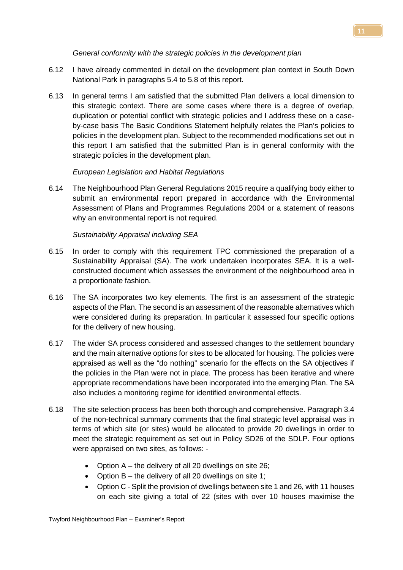### *General conformity with the strategic policies in the development plan*

- 6.12 I have already commented in detail on the development plan context in South Down National Park in paragraphs 5.4 to 5.8 of this report.
- 6.13 In general terms I am satisfied that the submitted Plan delivers a local dimension to this strategic context. There are some cases where there is a degree of overlap, duplication or potential conflict with strategic policies and I address these on a caseby-case basis The Basic Conditions Statement helpfully relates the Plan's policies to policies in the development plan. Subject to the recommended modifications set out in this report I am satisfied that the submitted Plan is in general conformity with the strategic policies in the development plan.

# *European Legislation and Habitat Regulations*

6.14 The Neighbourhood Plan General Regulations 2015 require a qualifying body either to submit an environmental report prepared in accordance with the Environmental Assessment of Plans and Programmes Regulations 2004 or a statement of reasons why an environmental report is not required.

# *Sustainability Appraisal including SEA*

- 6.15 In order to comply with this requirement TPC commissioned the preparation of a Sustainability Appraisal (SA). The work undertaken incorporates SEA. It is a wellconstructed document which assesses the environment of the neighbourhood area in a proportionate fashion.
- 6.16 The SA incorporates two key elements. The first is an assessment of the strategic aspects of the Plan. The second is an assessment of the reasonable alternatives which were considered during its preparation. In particular it assessed four specific options for the delivery of new housing.
- 6.17 The wider SA process considered and assessed changes to the settlement boundary and the main alternative options for sites to be allocated for housing. The policies were appraised as well as the "do nothing" scenario for the effects on the SA objectives if the policies in the Plan were not in place. The process has been iterative and where appropriate recommendations have been incorporated into the emerging Plan. The SA also includes a monitoring regime for identified environmental effects.
- 6.18 The site selection process has been both thorough and comprehensive. Paragraph 3.4 of the non-technical summary comments that the final strategic level appraisal was in terms of which site (or sites) would be allocated to provide 20 dwellings in order to meet the strategic requirement as set out in Policy SD26 of the SDLP. Four options were appraised on two sites, as follows: -
	- Option A the delivery of all 20 dwellings on site 26;
	- Option B the delivery of all 20 dwellings on site 1;
	- Option C Split the provision of dwellings between site 1 and 26, with 11 houses on each site giving a total of 22 (sites with over 10 houses maximise the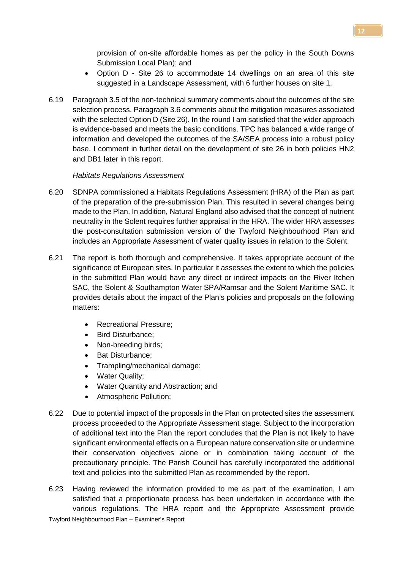provision of on-site affordable homes as per the policy in the South Downs Submission Local Plan); and

- Option D Site 26 to accommodate 14 dwellings on an area of this site suggested in a Landscape Assessment, with 6 further houses on site 1.
- 6.19 Paragraph 3.5 of the non-technical summary comments about the outcomes of the site selection process. Paragraph 3.6 comments about the mitigation measures associated with the selected Option D (Site 26). In the round I am satisfied that the wider approach is evidence-based and meets the basic conditions. TPC has balanced a wide range of information and developed the outcomes of the SA/SEA process into a robust policy base. I comment in further detail on the development of site 26 in both policies HN2 and DB1 later in this report.

# *Habitats Regulations Assessment*

- 6.20 SDNPA commissioned a Habitats Regulations Assessment (HRA) of the Plan as part of the preparation of the pre-submission Plan. This resulted in several changes being made to the Plan. In addition, Natural England also advised that the concept of nutrient neutrality in the Solent requires further appraisal in the HRA. The wider HRA assesses the post-consultation submission version of the Twyford Neighbourhood Plan and includes an Appropriate Assessment of water quality issues in relation to the Solent.
- 6.21 The report is both thorough and comprehensive. It takes appropriate account of the significance of European sites. In particular it assesses the extent to which the policies in the submitted Plan would have any direct or indirect impacts on the River Itchen SAC, the Solent & Southampton Water SPA/Ramsar and the Solent Maritime SAC. It provides details about the impact of the Plan's policies and proposals on the following matters:
	- Recreational Pressure;
	- Bird Disturbance:
	- Non-breeding birds;
	- Bat Disturbance;
	- Trampling/mechanical damage;
	- Water Quality;
	- Water Quantity and Abstraction; and
	- Atmospheric Pollution;
- 6.22 Due to potential impact of the proposals in the Plan on protected sites the assessment process proceeded to the Appropriate Assessment stage. Subject to the incorporation of additional text into the Plan the report concludes that the Plan is not likely to have significant environmental effects on a European nature conservation site or undermine their conservation objectives alone or in combination taking account of the precautionary principle. The Parish Council has carefully incorporated the additional text and policies into the submitted Plan as recommended by the report.
- 6.23 Having reviewed the information provided to me as part of the examination, I am satisfied that a proportionate process has been undertaken in accordance with the various regulations. The HRA report and the Appropriate Assessment provide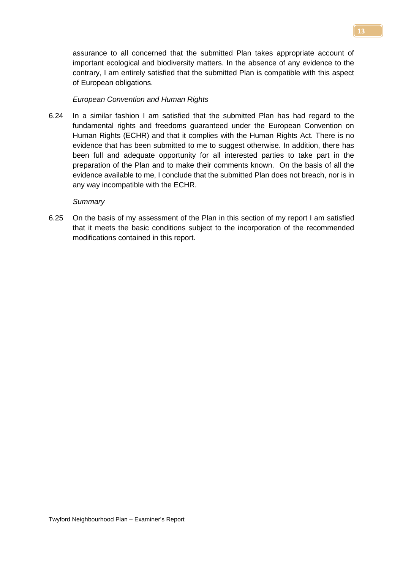assurance to all concerned that the submitted Plan takes appropriate account of important ecological and biodiversity matters. In the absence of any evidence to the contrary, I am entirely satisfied that the submitted Plan is compatible with this aspect of European obligations.

### *European Convention and Human Rights*

6.24 In a similar fashion I am satisfied that the submitted Plan has had regard to the fundamental rights and freedoms guaranteed under the European Convention on Human Rights (ECHR) and that it complies with the Human Rights Act. There is no evidence that has been submitted to me to suggest otherwise. In addition, there has been full and adequate opportunity for all interested parties to take part in the preparation of the Plan and to make their comments known. On the basis of all the evidence available to me, I conclude that the submitted Plan does not breach, nor is in any way incompatible with the ECHR.

#### *Summary*

6.25 On the basis of my assessment of the Plan in this section of my report I am satisfied that it meets the basic conditions subject to the incorporation of the recommended modifications contained in this report.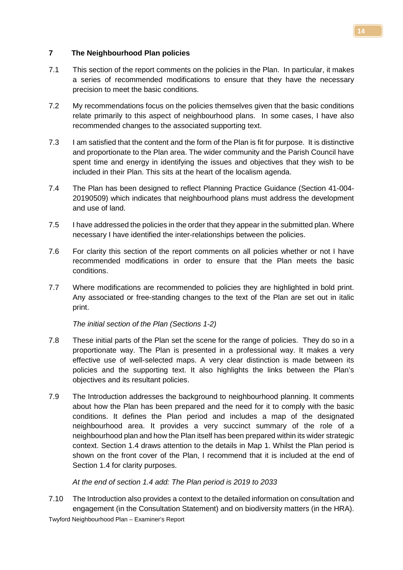## **7 The Neighbourhood Plan policies**

- 7.1 This section of the report comments on the policies in the Plan. In particular, it makes a series of recommended modifications to ensure that they have the necessary precision to meet the basic conditions.
- 7.2 My recommendations focus on the policies themselves given that the basic conditions relate primarily to this aspect of neighbourhood plans. In some cases, I have also recommended changes to the associated supporting text.
- 7.3 I am satisfied that the content and the form of the Plan is fit for purpose. It is distinctive and proportionate to the Plan area. The wider community and the Parish Council have spent time and energy in identifying the issues and objectives that they wish to be included in their Plan. This sits at the heart of the localism agenda.
- 7.4 The Plan has been designed to reflect Planning Practice Guidance (Section 41-004- 20190509) which indicates that neighbourhood plans must address the development and use of land.
- 7.5 I have addressed the policies in the order that they appear in the submitted plan. Where necessary I have identified the inter-relationships between the policies.
- 7.6 For clarity this section of the report comments on all policies whether or not I have recommended modifications in order to ensure that the Plan meets the basic conditions.
- 7.7 Where modifications are recommended to policies they are highlighted in bold print. Any associated or free-standing changes to the text of the Plan are set out in italic print.

*The initial section of the Plan (Sections 1-2)*

- 7.8 These initial parts of the Plan set the scene for the range of policies. They do so in a proportionate way. The Plan is presented in a professional way. It makes a very effective use of well-selected maps. A very clear distinction is made between its policies and the supporting text. It also highlights the links between the Plan's objectives and its resultant policies.
- 7.9 The Introduction addresses the background to neighbourhood planning. It comments about how the Plan has been prepared and the need for it to comply with the basic conditions. It defines the Plan period and includes a map of the designated neighbourhood area. It provides a very succinct summary of the role of a neighbourhood plan and how the Plan itself has been prepared within its wider strategic context. Section 1.4 draws attention to the details in Map 1. Whilst the Plan period is shown on the front cover of the Plan, I recommend that it is included at the end of Section 1.4 for clarity purposes.

# *At the end of section 1.4 add: The Plan period is 2019 to 2033*

7.10 The Introduction also provides a context to the detailed information on consultation and engagement (in the Consultation Statement) and on biodiversity matters (in the HRA).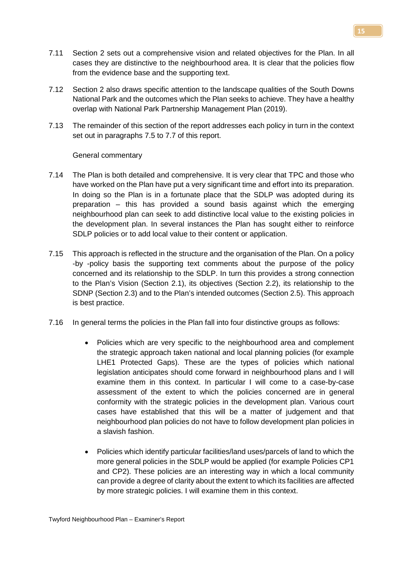- 7.11 Section 2 sets out a comprehensive vision and related objectives for the Plan. In all cases they are distinctive to the neighbourhood area. It is clear that the policies flow from the evidence base and the supporting text.
- 7.12 Section 2 also draws specific attention to the landscape qualities of the South Downs National Park and the outcomes which the Plan seeks to achieve. They have a healthy overlap with National Park Partnership Management Plan (2019).
- 7.13 The remainder of this section of the report addresses each policy in turn in the context set out in paragraphs 7.5 to 7.7 of this report.

### General commentary

- 7.14 The Plan is both detailed and comprehensive. It is very clear that TPC and those who have worked on the Plan have put a very significant time and effort into its preparation. In doing so the Plan is in a fortunate place that the SDLP was adopted during its preparation – this has provided a sound basis against which the emerging neighbourhood plan can seek to add distinctive local value to the existing policies in the development plan. In several instances the Plan has sought either to reinforce SDLP policies or to add local value to their content or application.
- 7.15 This approach is reflected in the structure and the organisation of the Plan. On a policy -by -policy basis the supporting text comments about the purpose of the policy concerned and its relationship to the SDLP. In turn this provides a strong connection to the Plan's Vision (Section 2.1), its objectives (Section 2.2), its relationship to the SDNP (Section 2.3) and to the Plan's intended outcomes (Section 2.5). This approach is best practice.
- 7.16 In general terms the policies in the Plan fall into four distinctive groups as follows:
	- Policies which are very specific to the neighbourhood area and complement the strategic approach taken national and local planning policies (for example LHE1 Protected Gaps). These are the types of policies which national legislation anticipates should come forward in neighbourhood plans and I will examine them in this context. In particular I will come to a case-by-case assessment of the extent to which the policies concerned are in general conformity with the strategic policies in the development plan. Various court cases have established that this will be a matter of judgement and that neighbourhood plan policies do not have to follow development plan policies in a slavish fashion.
	- Policies which identify particular facilities/land uses/parcels of land to which the more general policies in the SDLP would be applied (for example Policies CP1 and CP2). These policies are an interesting way in which a local community can provide a degree of clarity about the extent to which its facilities are affected by more strategic policies. I will examine them in this context.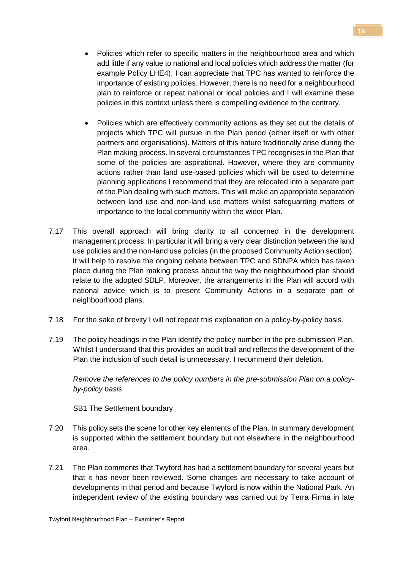- Policies which refer to specific matters in the neighbourhood area and which add little if any value to national and local policies which address the matter (for example Policy LHE4). I can appreciate that TPC has wanted to reinforce the importance of existing policies. However, there is no need for a neighbourhood plan to reinforce or repeat national or local policies and I will examine these policies in this context unless there is compelling evidence to the contrary.
- Policies which are effectively community actions as they set out the details of projects which TPC will pursue in the Plan period (either itself or with other partners and organisations). Matters of this nature traditionally arise during the Plan making process. In several circumstances TPC recognises in the Plan that some of the policies are aspirational. However, where they are community actions rather than land use-based policies which will be used to determine planning applications I recommend that they are relocated into a separate part of the Plan dealing with such matters. This will make an appropriate separation between land use and non-land use matters whilst safeguarding matters of importance to the local community within the wider Plan.
- 7.17 This overall approach will bring clarity to all concerned in the development management process. In particular it will bring a very clear distinction between the land use policies and the non-land use policies (in the proposed Community Action section). It will help to resolve the ongoing debate between TPC and SDNPA which has taken place during the Plan making process about the way the neighbourhood plan should relate to the adopted SDLP. Moreover, the arrangements in the Plan will accord with national advice which is to present Community Actions in a separate part of neighbourhood plans.
- 7.18 For the sake of brevity I will not repeat this explanation on a policy-by-policy basis.
- 7.19 The policy headings in the Plan identify the policy number in the pre-submission Plan. Whilst I understand that this provides an audit trail and reflects the development of the Plan the inclusion of such detail is unnecessary. I recommend their deletion.

*Remove the references to the policy numbers in the pre-submission Plan on a policyby-policy basis*

SB1 The Settlement boundary

- 7.20 This policy sets the scene for other key elements of the Plan. In summary development is supported within the settlement boundary but not elsewhere in the neighbourhood area.
- 7.21 The Plan comments that Twyford has had a settlement boundary for several years but that it has never been reviewed. Some changes are necessary to take account of developments in that period and because Twyford is now within the National Park. An independent review of the existing boundary was carried out by Terra Firma in late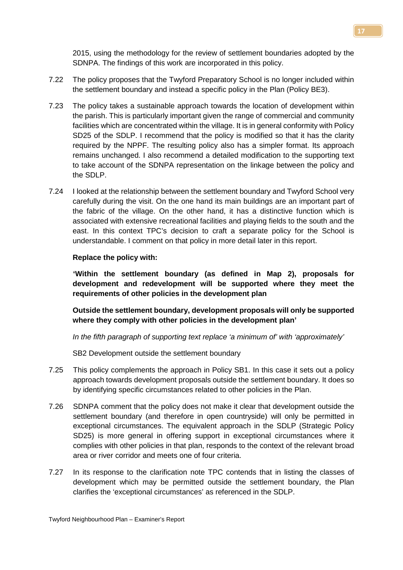2015, using the methodology for the review of settlement boundaries adopted by the SDNPA. The findings of this work are incorporated in this policy.

- 7.22 The policy proposes that the Twyford Preparatory School is no longer included within the settlement boundary and instead a specific policy in the Plan (Policy BE3).
- 7.23 The policy takes a sustainable approach towards the location of development within the parish. This is particularly important given the range of commercial and community facilities which are concentrated within the village. It is in general conformity with Policy SD25 of the SDLP. I recommend that the policy is modified so that it has the clarity required by the NPPF. The resulting policy also has a simpler format. Its approach remains unchanged. I also recommend a detailed modification to the supporting text to take account of the SDNPA representation on the linkage between the policy and the SDLP.
- 7.24 I looked at the relationship between the settlement boundary and Twyford School very carefully during the visit. On the one hand its main buildings are an important part of the fabric of the village. On the other hand, it has a distinctive function which is associated with extensive recreational facilities and playing fields to the south and the east. In this context TPC's decision to craft a separate policy for the School is understandable. I comment on that policy in more detail later in this report.

### **Replace the policy with:**

**'Within the settlement boundary (as defined in Map 2), proposals for development and redevelopment will be supported where they meet the requirements of other policies in the development plan** 

**Outside the settlement boundary, development proposals will only be supported where they comply with other policies in the development plan'**

*In the fifth paragraph of supporting text replace 'a minimum of' with 'approximately'*

SB2 Development outside the settlement boundary

- 7.25 This policy complements the approach in Policy SB1. In this case it sets out a policy approach towards development proposals outside the settlement boundary. It does so by identifying specific circumstances related to other policies in the Plan.
- 7.26 SDNPA comment that the policy does not make it clear that development outside the settlement boundary (and therefore in open countryside) will only be permitted in exceptional circumstances. The equivalent approach in the SDLP (Strategic Policy SD25) is more general in offering support in exceptional circumstances where it complies with other policies in that plan, responds to the context of the relevant broad area or river corridor and meets one of four criteria.
- 7.27 In its response to the clarification note TPC contends that in listing the classes of development which may be permitted outside the settlement boundary, the Plan clarifies the 'exceptional circumstances' as referenced in the SDLP.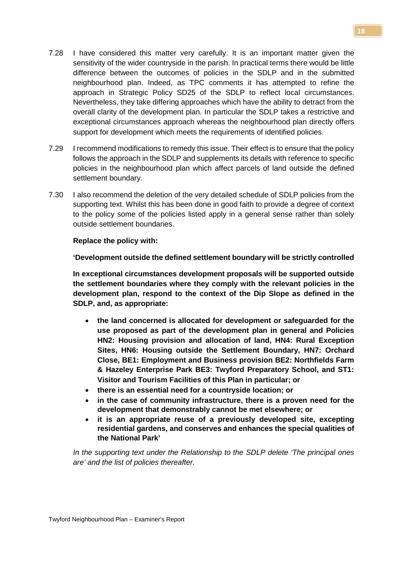- 7.28 I have considered this matter very carefully. It is an important matter given the sensitivity of the wider countryside in the parish. In practical terms there would be little difference between the outcomes of policies in the SDLP and in the submitted neighbourhood plan. Indeed, as TPC comments it has attempted to refine the approach in Strategic Policy SD25 of the SDLP to reflect local circumstances. Nevertheless, they take differing approaches which have the ability to detract from the overall clarity of the development plan. In particular the SDLP takes a restrictive and exceptional circumstances approach whereas the neighbourhood plan directly offers support for development which meets the requirements of identified policies.
- 7.29 I recommend modifications to remedy this issue. Their effect is to ensure that the policy follows the approach in the SDLP and supplements its details with reference to specific policies in the neighbourhood plan which affect parcels of land outside the defined settlement boundary.
- 7.30 I also recommend the deletion of the very detailed schedule of SDLP policies from the supporting text. Whilst this has been done in good faith to provide a degree of context to the policy some of the policies listed apply in a general sense rather than solely outside settlement boundaries.

### **Replace the policy with:**

**'Development outside the defined settlement boundary will be strictly controlled**

**In exceptional circumstances development proposals will be supported outside the settlement boundaries where they comply with the relevant policies in the development plan, respond to the context of the Dip Slope as defined in the SDLP, and, as appropriate:** 

- **the land concerned is allocated for development or safeguarded for the use proposed as part of the development plan in general and Policies HN2: Housing provision and allocation of land, HN4: Rural Exception Sites, HN6: Housing outside the Settlement Boundary, HN7: Orchard Close, BE1: Employment and Business provision BE2: Northfields Farm & Hazeley Enterprise Park BE3: Twyford Preparatory School, and ST1: Visitor and Tourism Facilities of this Plan in particular; or**
- **there is an essential need for a countryside location; or**
- **in the case of community infrastructure, there is a proven need for the development that demonstrably cannot be met elsewhere; or**
- **it is an appropriate reuse of a previously developed site, excepting residential gardens, and conserves and enhances the special qualities of the National Park'**

*In the supporting text under the Relationship to the SDLP delete 'The principal ones are' and the list of policies thereafter.*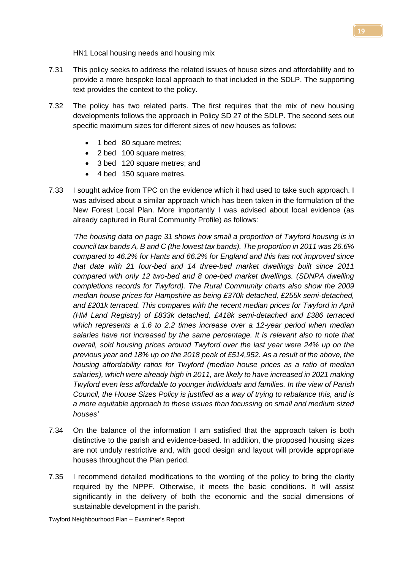HN1 Local housing needs and housing mix

- 7.31 This policy seeks to address the related issues of house sizes and affordability and to provide a more bespoke local approach to that included in the SDLP. The supporting text provides the context to the policy.
- 7.32 The policy has two related parts. The first requires that the mix of new housing developments follows the approach in Policy SD 27 of the SDLP. The second sets out specific maximum sizes for different sizes of new houses as follows:
	- 1 bed 80 square metres;
	- 2 bed 100 square metres;
	- 3 bed 120 square metres; and
	- 4 bed 150 square metres.
- 7.33 I sought advice from TPC on the evidence which it had used to take such approach. I was advised about a similar approach which has been taken in the formulation of the New Forest Local Plan. More importantly I was advised about local evidence (as already captured in Rural Community Profile) as follows:

*'The housing data on page 31 shows how small a proportion of Twyford housing is in council tax bands A, B and C (the lowest tax bands). The proportion in 2011 was 26.6% compared to 46.2% for Hants and 66.2% for England and this has not improved since that date with 21 four-bed and 14 three-bed market dwellings built since 2011 compared with only 12 two-bed and 8 one-bed market dwellings. (SDNPA dwelling completions records for Twyford). The Rural Community charts also show the 2009 median house prices for Hampshire as being £370k detached, £255k semi-detached,*  and £201k terraced. This compares with the recent median prices for Twyford in April *(HM Land Registry) of £833k detached, £418k semi-detached and £386 terraced which represents a 1.6 to 2.2 times increase over a 12-year period when median salaries have not increased by the same percentage. It is relevant also to note that overall, sold housing prices around Twyford over the last year were 24% up on the previous year and 18% up on the 2018 peak of £514,952. As a result of the above, the housing affordability ratios for Twyford (median house prices as a ratio of median*  salaries), which were already high in 2011, are likely to have increased in 2021 making *Twyford even less affordable to younger individuals and families. In the view of Parish Council, the House Sizes Policy is justified as a way of trying to rebalance this, and is a more equitable approach to these issues than focussing on small and medium sized houses'*

- 7.34 On the balance of the information I am satisfied that the approach taken is both distinctive to the parish and evidence-based. In addition, the proposed housing sizes are not unduly restrictive and, with good design and layout will provide appropriate houses throughout the Plan period.
- 7.35 I recommend detailed modifications to the wording of the policy to bring the clarity required by the NPPF. Otherwise, it meets the basic conditions. It will assist significantly in the delivery of both the economic and the social dimensions of sustainable development in the parish.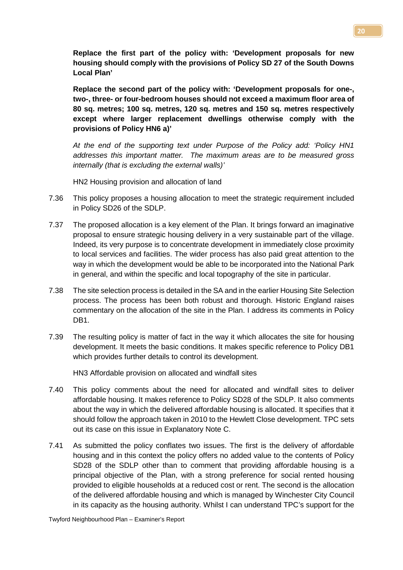**Replace the first part of the policy with: 'Development proposals for new housing should comply with the provisions of Policy SD 27 of the South Downs Local Plan'**

**Replace the second part of the policy with: 'Development proposals for one-, two-, three- or four-bedroom houses should not exceed a maximum floor area of 80 sq. metres; 100 sq. metres, 120 sq. metres and 150 sq. metres respectively except where larger replacement dwellings otherwise comply with the provisions of Policy HN6 a)'**

*At the end of the supporting text under Purpose of the Policy add: 'Policy HN1 addresses this important matter. The maximum areas are to be measured gross internally (that is excluding the external walls)'*

HN2 Housing provision and allocation of land

- 7.36 This policy proposes a housing allocation to meet the strategic requirement included in Policy SD26 of the SDLP.
- 7.37 The proposed allocation is a key element of the Plan. It brings forward an imaginative proposal to ensure strategic housing delivery in a very sustainable part of the village. Indeed, its very purpose is to concentrate development in immediately close proximity to local services and facilities. The wider process has also paid great attention to the way in which the development would be able to be incorporated into the National Park in general, and within the specific and local topography of the site in particular.
- 7.38 The site selection process is detailed in the SA and in the earlier Housing Site Selection process. The process has been both robust and thorough. Historic England raises commentary on the allocation of the site in the Plan. I address its comments in Policy DB<sub>1</sub>.
- 7.39 The resulting policy is matter of fact in the way it which allocates the site for housing development. It meets the basic conditions. It makes specific reference to Policy DB1 which provides further details to control its development.

HN3 Affordable provision on allocated and windfall sites

- 7.40 This policy comments about the need for allocated and windfall sites to deliver affordable housing. It makes reference to Policy SD28 of the SDLP. It also comments about the way in which the delivered affordable housing is allocated. It specifies that it should follow the approach taken in 2010 to the Hewlett Close development. TPC sets out its case on this issue in Explanatory Note C.
- 7.41 As submitted the policy conflates two issues. The first is the delivery of affordable housing and in this context the policy offers no added value to the contents of Policy SD28 of the SDLP other than to comment that providing affordable housing is a principal objective of the Plan, with a strong preference for social rented housing provided to eligible households at a reduced cost or rent. The second is the allocation of the delivered affordable housing and which is managed by Winchester City Council in its capacity as the housing authority. Whilst I can understand TPC's support for the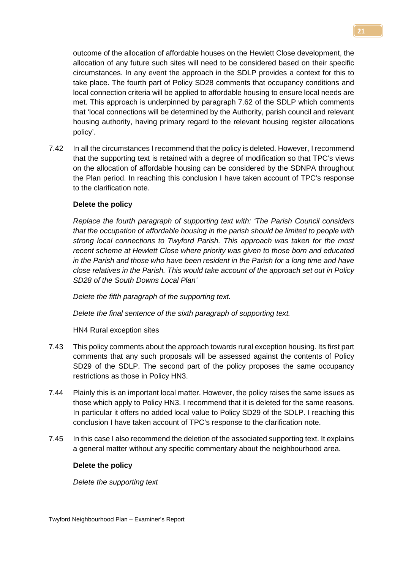outcome of the allocation of affordable houses on the Hewlett Close development, the allocation of any future such sites will need to be considered based on their specific circumstances. In any event the approach in the SDLP provides a context for this to take place. The fourth part of Policy SD28 comments that occupancy conditions and local connection criteria will be applied to affordable housing to ensure local needs are met. This approach is underpinned by paragraph 7.62 of the SDLP which comments that 'local connections will be determined by the Authority, parish council and relevant housing authority, having primary regard to the relevant housing register allocations policy'.

7.42 In all the circumstances I recommend that the policy is deleted. However, I recommend that the supporting text is retained with a degree of modification so that TPC's views on the allocation of affordable housing can be considered by the SDNPA throughout the Plan period. In reaching this conclusion I have taken account of TPC's response to the clarification note.

### **Delete the policy**

*Replace the fourth paragraph of supporting text with: 'The Parish Council considers that the occupation of affordable housing in the parish should be limited to people with strong local connections to Twyford Parish. This approach was taken for the most recent scheme at Hewlett Close where priority was given to those born and educated in the Parish and those who have been resident in the Parish for a long time and have close relatives in the Parish. This would take account of the approach set out in Policy SD28 of the South Downs Local Plan'*

*Delete the fifth paragraph of the supporting text.*

*Delete the final sentence of the sixth paragraph of supporting text.*

HN4 Rural exception sites

- 7.43 This policy comments about the approach towards rural exception housing. Its first part comments that any such proposals will be assessed against the contents of Policy SD29 of the SDLP. The second part of the policy proposes the same occupancy restrictions as those in Policy HN3.
- 7.44 Plainly this is an important local matter. However, the policy raises the same issues as those which apply to Policy HN3. I recommend that it is deleted for the same reasons. In particular it offers no added local value to Policy SD29 of the SDLP. I reaching this conclusion I have taken account of TPC's response to the clarification note.
- 7.45 In this case I also recommend the deletion of the associated supporting text. It explains a general matter without any specific commentary about the neighbourhood area.

#### **Delete the policy**

*Delete the supporting text*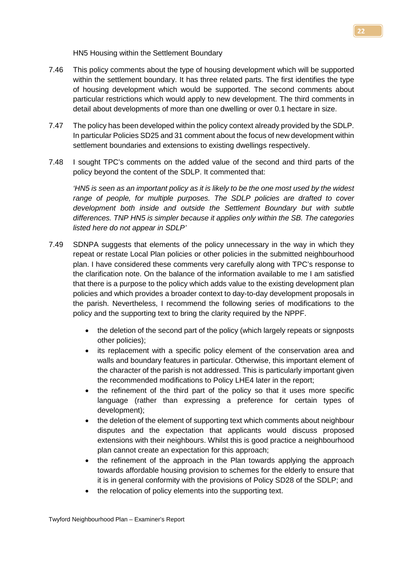HN5 Housing within the Settlement Boundary

- 7.46 This policy comments about the type of housing development which will be supported within the settlement boundary. It has three related parts. The first identifies the type of housing development which would be supported. The second comments about particular restrictions which would apply to new development. The third comments in detail about developments of more than one dwelling or over 0.1 hectare in size.
- 7.47 The policy has been developed within the policy context already provided by the SDLP. In particular Policies SD25 and 31 comment about the focus of new development within settlement boundaries and extensions to existing dwellings respectively.
- 7.48 I sought TPC's comments on the added value of the second and third parts of the policy beyond the content of the SDLP. It commented that:

*'HN5 is seen as an important policy as it is likely to be the one most used by the widest range of people, for multiple purposes. The SDLP policies are drafted to cover development both inside and outside the Settlement Boundary but with subtle differences. TNP HN5 is simpler because it applies only within the SB. The categories listed here do not appear in SDLP'*

- 7.49 SDNPA suggests that elements of the policy unnecessary in the way in which they repeat or restate Local Plan policies or other policies in the submitted neighbourhood plan. I have considered these comments very carefully along with TPC's response to the clarification note. On the balance of the information available to me I am satisfied that there is a purpose to the policy which adds value to the existing development plan policies and which provides a broader context to day-to-day development proposals in the parish. Nevertheless, I recommend the following series of modifications to the policy and the supporting text to bring the clarity required by the NPPF.
	- the deletion of the second part of the policy (which largely repeats or signposts other policies);
	- its replacement with a specific policy element of the conservation area and walls and boundary features in particular. Otherwise, this important element of the character of the parish is not addressed. This is particularly important given the recommended modifications to Policy LHE4 later in the report;
	- the refinement of the third part of the policy so that it uses more specific language (rather than expressing a preference for certain types of development);
	- the deletion of the element of supporting text which comments about neighbour disputes and the expectation that applicants would discuss proposed extensions with their neighbours. Whilst this is good practice a neighbourhood plan cannot create an expectation for this approach;
	- the refinement of the approach in the Plan towards applying the approach towards affordable housing provision to schemes for the elderly to ensure that it is in general conformity with the provisions of Policy SD28 of the SDLP; and
	- the relocation of policy elements into the supporting text.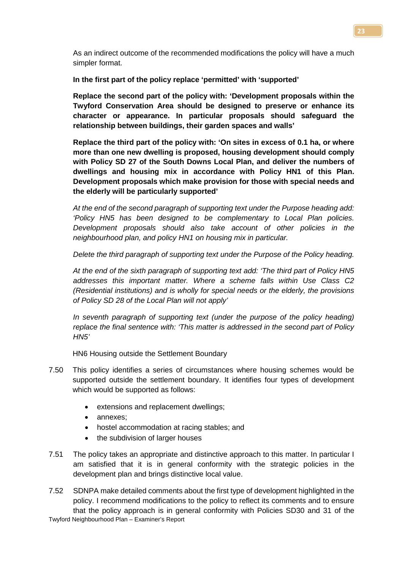As an indirect outcome of the recommended modifications the policy will have a much simpler format.

**In the first part of the policy replace 'permitted' with 'supported'**

**Replace the second part of the policy with: 'Development proposals within the Twyford Conservation Area should be designed to preserve or enhance its character or appearance. In particular proposals should safeguard the relationship between buildings, their garden spaces and walls'**

**Replace the third part of the policy with: 'On sites in excess of 0.1 ha, or where more than one new dwelling is proposed, housing development should comply with Policy SD 27 of the South Downs Local Plan, and deliver the numbers of dwellings and housing mix in accordance with Policy HN1 of this Plan. Development proposals which make provision for those with special needs and the elderly will be particularly supported'**

*At the end of the second paragraph of supporting text under the Purpose heading add: 'Policy HN5 has been designed to be complementary to Local Plan policies. Development proposals should also take account of other policies in the neighbourhood plan, and policy HN1 on housing mix in particular.* 

*Delete the third paragraph of supporting text under the Purpose of the Policy heading.*

*At the end of the sixth paragraph of supporting text add: 'The third part of Policy HN5 addresses this important matter. Where a scheme falls within Use Class C2 (Residential institutions) and is wholly for special needs or the elderly, the provisions of Policy SD 28 of the Local Plan will not apply'*

*In seventh paragraph of supporting text (under the purpose of the policy heading) replace the final sentence with: 'This matter is addressed in the second part of Policy HN5'*

HN6 Housing outside the Settlement Boundary

- 7.50 This policy identifies a series of circumstances where housing schemes would be supported outside the settlement boundary. It identifies four types of development which would be supported as follows:
	- extensions and replacement dwellings;
	- annexes;
	- hostel accommodation at racing stables; and
	- the subdivision of larger houses
- 7.51 The policy takes an appropriate and distinctive approach to this matter. In particular I am satisfied that it is in general conformity with the strategic policies in the development plan and brings distinctive local value.

Twyford Neighbourhood Plan – Examiner's Report 7.52 SDNPA make detailed comments about the first type of development highlighted in the policy. I recommend modifications to the policy to reflect its comments and to ensure that the policy approach is in general conformity with Policies SD30 and 31 of the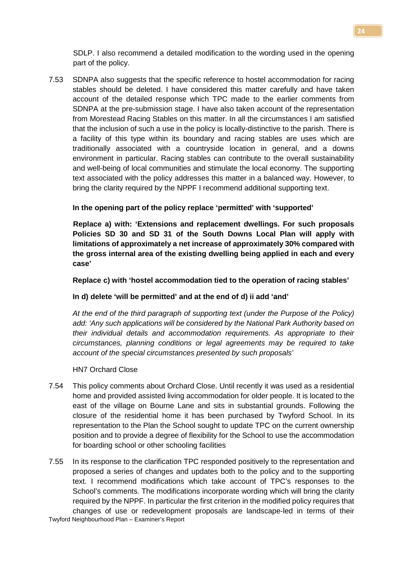SDLP. I also recommend a detailed modification to the wording used in the opening part of the policy.

7.53 SDNPA also suggests that the specific reference to hostel accommodation for racing stables should be deleted. I have considered this matter carefully and have taken account of the detailed response which TPC made to the earlier comments from SDNPA at the pre-submission stage. I have also taken account of the representation from Morestead Racing Stables on this matter. In all the circumstances I am satisfied that the inclusion of such a use in the policy is locally-distinctive to the parish. There is a facility of this type within its boundary and racing stables are uses which are traditionally associated with a countryside location in general, and a downs environment in particular. Racing stables can contribute to the overall sustainability and well-being of local communities and stimulate the local economy. The supporting text associated with the policy addresses this matter in a balanced way. However, to bring the clarity required by the NPPF I recommend additional supporting text.

### **In the opening part of the policy replace 'permitted' with 'supported'**

**Replace a) with: 'Extensions and replacement dwellings. For such proposals Policies SD 30 and SD 31 of the South Downs Local Plan will apply with limitations of approximately a net increase of approximately 30% compared with the gross internal area of the existing dwelling being applied in each and every case'**

#### **Replace c) with 'hostel accommodation tied to the operation of racing stables'**

#### **In d) delete 'will be permitted' and at the end of d) ii add 'and'**

*At the end of the third paragraph of supporting text (under the Purpose of the Policy) add: 'Any such applications will be considered by the National Park Authority based on their individual details and accommodation requirements. As appropriate to their circumstances, planning conditions or legal agreements may be required to take account of the special circumstances presented by such proposals'* 

#### HN7 Orchard Close

- 7.54 This policy comments about Orchard Close. Until recently it was used as a residential home and provided assisted living accommodation for older people. It is located to the east of the village on Bourne Lane and sits in substantial grounds. Following the closure of the residential home it has been purchased by Twyford School. In its representation to the Plan the School sought to update TPC on the current ownership position and to provide a degree of flexibility for the School to use the accommodation for boarding school or other schooling facilities
- Twyford Neighbourhood Plan Examiner's Report 7.55 In its response to the clarification TPC responded positively to the representation and proposed a series of changes and updates both to the policy and to the supporting text. I recommend modifications which take account of TPC's responses to the School's comments. The modifications incorporate wording which will bring the clarity required by the NPPF. In particular the first criterion in the modified policy requires that changes of use or redevelopment proposals are landscape-led in terms of their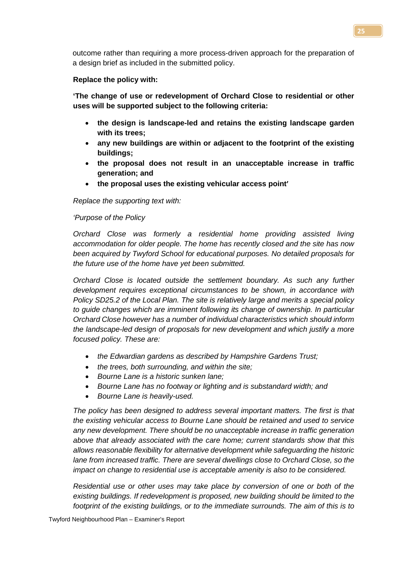outcome rather than requiring a more process-driven approach for the preparation of a design brief as included in the submitted policy.

#### **Replace the policy with:**

**'The change of use or redevelopment of Orchard Close to residential or other uses will be supported subject to the following criteria:**

- **the design is landscape-led and retains the existing landscape garden with its trees;**
- **any new buildings are within or adjacent to the footprint of the existing buildings;**
- **the proposal does not result in an unacceptable increase in traffic generation; and**
- **the proposal uses the existing vehicular access point'**

### *Replace the supporting text with:*

### *'Purpose of the Policy*

*Orchard Close was formerly a residential home providing assisted living accommodation for older people. The home has recently closed and the site has now been acquired by Twyford School for educational purposes. No detailed proposals for the future use of the home have yet been submitted.* 

*Orchard Close is located outside the settlement boundary. As such any further development requires exceptional circumstances to be shown, in accordance with Policy SD25.2 of the Local Plan. The site is relatively large and merits a special policy to guide changes which are imminent following its change of ownership. In particular Orchard Close however has a number of individual characteristics which should inform the landscape-led design of proposals for new development and which justify a more focused policy. These are:* 

- *the Edwardian gardens as described by Hampshire Gardens Trust;*
- *the trees, both surrounding, and within the site;*
- *Bourne Lane is a historic sunken lane;*
- *Bourne Lane has no footway or lighting and is substandard width; and*
- *Bourne Lane is heavily-used.*

*The policy has been designed to address several important matters. The first is that the existing vehicular access to Bourne Lane should be retained and used to service any new development. There should be no unacceptable increase in traffic generation above that already associated with the care home; current standards show that this allows reasonable flexibility for alternative development while safeguarding the historic lane from increased traffic. There are several dwellings close to Orchard Close, so the impact on change to residential use is acceptable amenity is also to be considered.* 

*Residential use or other uses may take place by conversion of one or both of the existing buildings. If redevelopment is proposed, new building should be limited to the footprint of the existing buildings, or to the immediate surrounds. The aim of this is to*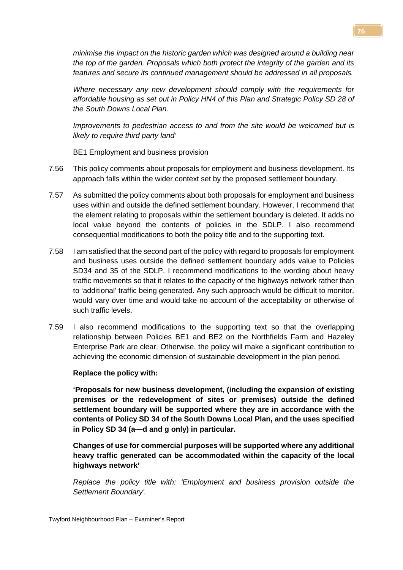*minimise the impact on the historic garden which was designed around a building near the top of the garden. Proposals which both protect the integrity of the garden and its features and secure its continued management should be addressed in all proposals.* 

*Where necessary any new development should comply with the requirements for affordable housing as set out in Policy HN4 of this Plan and Strategic Policy SD 28 of the South Downs Local Plan.*

*Improvements to pedestrian access to and from the site would be welcomed but is likely to require third party land'*

BE1 Employment and business provision

- 7.56 This policy comments about proposals for employment and business development. Its approach falls within the wider context set by the proposed settlement boundary.
- 7.57 As submitted the policy comments about both proposals for employment and business uses within and outside the defined settlement boundary. However, I recommend that the element relating to proposals within the settlement boundary is deleted. It adds no local value beyond the contents of policies in the SDLP. I also recommend consequential modifications to both the policy title and to the supporting text.
- 7.58 I am satisfied that the second part of the policy with regard to proposals for employment and business uses outside the defined settlement boundary adds value to Policies SD34 and 35 of the SDLP. I recommend modifications to the wording about heavy traffic movements so that it relates to the capacity of the highways network rather than to 'additional' traffic being generated. Any such approach would be difficult to monitor, would vary over time and would take no account of the acceptability or otherwise of such traffic levels.
- 7.59 I also recommend modifications to the supporting text so that the overlapping relationship between Policies BE1 and BE2 on the Northfields Farm and Hazeley Enterprise Park are clear. Otherwise, the policy will make a significant contribution to achieving the economic dimension of sustainable development in the plan period.

#### **Replace the policy with:**

**'Proposals for new business development, (including the expansion of existing premises or the redevelopment of sites or premises) outside the defined settlement boundary will be supported where they are in accordance with the contents of Policy SD 34 of the South Downs Local Plan, and the uses specified in Policy SD 34 (a—d and g only) in particular.** 

**Changes of use for commercial purposes will be supported where any additional heavy traffic generated can be accommodated within the capacity of the local highways network'**

*Replace the policy title with: 'Employment and business provision outside the Settlement Boundary'.*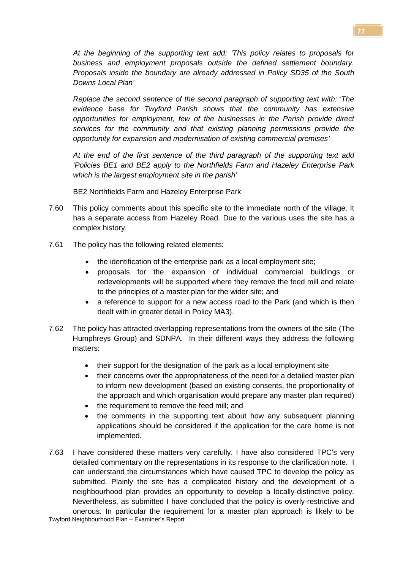*At the beginning of the supporting text add: 'This policy relates to proposals for business and employment proposals outside the defined settlement boundary. Proposals inside the boundary are already addressed in Policy SD35 of the South Downs Local Plan'*

*Replace the second sentence of the second paragraph of supporting text with: 'The evidence base for Twyford Parish shows that the community has extensive opportunities for employment, few of the businesses in the Parish provide direct services for the community and that existing planning permissions provide the opportunity for expansion and modernisation of existing commercial premises'*

*At the end of the first sentence of the third paragraph of the supporting text add 'Policies BE1 and BE2 apply to the Northfields Farm and Hazeley Enterprise Park which is the largest employment site in the parish'*

BE2 Northfields Farm and Hazeley Enterprise Park

- 7.60 This policy comments about this specific site to the immediate north of the village. It has a separate access from Hazeley Road. Due to the various uses the site has a complex history.
- 7.61 The policy has the following related elements:
	- the identification of the enterprise park as a local employment site;
	- proposals for the expansion of individual commercial buildings or redevelopments will be supported where they remove the feed mill and relate to the principles of a master plan for the wider site; and
	- a reference to support for a new access road to the Park (and which is then dealt with in greater detail in Policy MA3).
- 7.62 The policy has attracted overlapping representations from the owners of the site (The Humphreys Group) and SDNPA. In their different ways they address the following matters:
	- their support for the designation of the park as a local employment site
	- their concerns over the appropriateness of the need for a detailed master plan to inform new development (based on existing consents, the proportionality of the approach and which organisation would prepare any master plan required)
	- the requirement to remove the feed mill; and
	- the comments in the supporting text about how any subsequent planning applications should be considered if the application for the care home is not implemented.
- Twyford Neighbourhood Plan Examiner's Report 7.63 I have considered these matters very carefully. I have also considered TPC's very detailed commentary on the representations in its response to the clarification note. I can understand the circumstances which have caused TPC to develop the policy as submitted. Plainly the site has a complicated history and the development of a neighbourhood plan provides an opportunity to develop a locally-distinctive policy. Nevertheless, as submitted I have concluded that the policy is overly-restrictive and onerous. In particular the requirement for a master plan approach is likely to be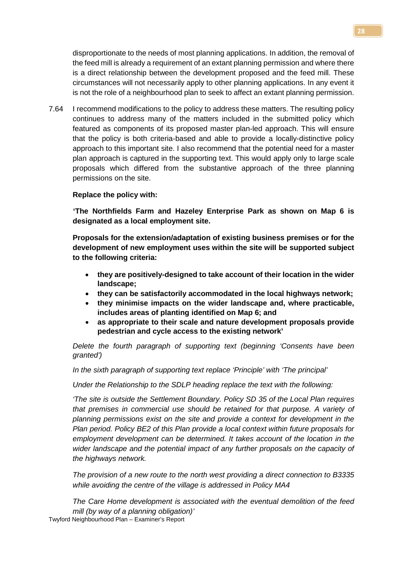disproportionate to the needs of most planning applications. In addition, the removal of the feed mill is already a requirement of an extant planning permission and where there is a direct relationship between the development proposed and the feed mill. These circumstances will not necessarily apply to other planning applications. In any event it is not the role of a neighbourhood plan to seek to affect an extant planning permission.

7.64 I recommend modifications to the policy to address these matters. The resulting policy continues to address many of the matters included in the submitted policy which featured as components of its proposed master plan-led approach. This will ensure that the policy is both criteria-based and able to provide a locally-distinctive policy approach to this important site. I also recommend that the potential need for a master plan approach is captured in the supporting text. This would apply only to large scale proposals which differed from the substantive approach of the three planning permissions on the site.

### **Replace the policy with:**

**'The Northfields Farm and Hazeley Enterprise Park as shown on Map 6 is designated as a local employment site.**

**Proposals for the extension/adaptation of existing business premises or for the development of new employment uses within the site will be supported subject to the following criteria:**

- **they are positively-designed to take account of their location in the wider landscape;**
- **they can be satisfactorily accommodated in the local highways network;**
- **they minimise impacts on the wider landscape and, where practicable, includes areas of planting identified on Map 6; and**
- **as appropriate to their scale and nature development proposals provide pedestrian and cycle access to the existing network'**

*Delete the fourth paragraph of supporting text (beginning 'Consents have been granted')*

*In the sixth paragraph of supporting text replace 'Principle' with 'The principal'*

*Under the Relationship to the SDLP heading replace the text with the following:*

*'The site is outside the Settlement Boundary. Policy SD 35 of the Local Plan requires that premises in commercial use should be retained for that purpose. A variety of planning permissions exist on the site and provide a context for development in the Plan period. Policy BE2 of this Plan provide a local context within future proposals for employment development can be determined. It takes account of the location in the wider landscape and the potential impact of any further proposals on the capacity of the highways network.*

*The provision of a new route to the north west providing a direct connection to B3335 while avoiding the centre of the village is addressed in Policy MA4*

Twyford Neighbourhood Plan – Examiner's Report *The Care Home development is associated with the eventual demolition of the feed mill (by way of a planning obligation)'*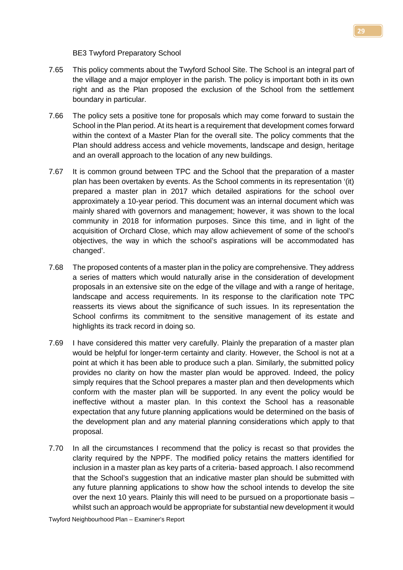BE3 Twyford Preparatory School

- 7.65 This policy comments about the Twyford School Site. The School is an integral part of the village and a major employer in the parish. The policy is important both in its own right and as the Plan proposed the exclusion of the School from the settlement boundary in particular.
- 7.66 The policy sets a positive tone for proposals which may come forward to sustain the School in the Plan period. At its heart is a requirement that development comes forward within the context of a Master Plan for the overall site. The policy comments that the Plan should address access and vehicle movements, landscape and design, heritage and an overall approach to the location of any new buildings.
- 7.67 It is common ground between TPC and the School that the preparation of a master plan has been overtaken by events. As the School comments in its representation '(it) prepared a master plan in 2017 which detailed aspirations for the school over approximately a 10-year period. This document was an internal document which was mainly shared with governors and management; however, it was shown to the local community in 2018 for information purposes. Since this time, and in light of the acquisition of Orchard Close, which may allow achievement of some of the school's objectives, the way in which the school's aspirations will be accommodated has changed'.
- 7.68 The proposed contents of a master plan in the policy are comprehensive. They address a series of matters which would naturally arise in the consideration of development proposals in an extensive site on the edge of the village and with a range of heritage, landscape and access requirements. In its response to the clarification note TPC reasserts its views about the significance of such issues. In its representation the School confirms its commitment to the sensitive management of its estate and highlights its track record in doing so.
- 7.69 I have considered this matter very carefully. Plainly the preparation of a master plan would be helpful for longer-term certainty and clarity. However, the School is not at a point at which it has been able to produce such a plan. Similarly, the submitted policy provides no clarity on how the master plan would be approved. Indeed, the policy simply requires that the School prepares a master plan and then developments which conform with the master plan will be supported. In any event the policy would be ineffective without a master plan. In this context the School has a reasonable expectation that any future planning applications would be determined on the basis of the development plan and any material planning considerations which apply to that proposal.
- 7.70 In all the circumstances I recommend that the policy is recast so that provides the clarity required by the NPPF. The modified policy retains the matters identified for inclusion in a master plan as key parts of a criteria- based approach. I also recommend that the School's suggestion that an indicative master plan should be submitted with any future planning applications to show how the school intends to develop the site over the next 10 years. Plainly this will need to be pursued on a proportionate basis – whilst such an approach would be appropriate for substantial new development it would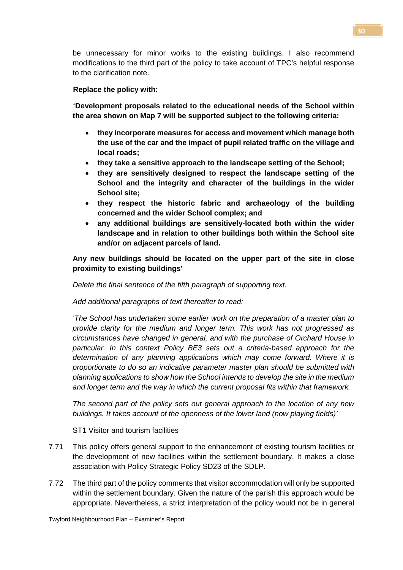be unnecessary for minor works to the existing buildings. I also recommend modifications to the third part of the policy to take account of TPC's helpful response to the clarification note.

### **Replace the policy with:**

**'Development proposals related to the educational needs of the School within the area shown on Map 7 will be supported subject to the following criteria:** 

- **they incorporate measures for access and movement which manage both the use of the car and the impact of pupil related traffic on the village and local roads;**
- **they take a sensitive approach to the landscape setting of the School;**
- **they are sensitively designed to respect the landscape setting of the School and the integrity and character of the buildings in the wider School site;**
- **they respect the historic fabric and archaeology of the building concerned and the wider School complex; and**
- **any additional buildings are sensitively-located both within the wider landscape and in relation to other buildings both within the School site and/or on adjacent parcels of land.**

**Any new buildings should be located on the upper part of the site in close proximity to existing buildings'**

*Delete the final sentence of the fifth paragraph of supporting text.*

*Add additional paragraphs of text thereafter to read:* 

*'The School has undertaken some earlier work on the preparation of a master plan to provide clarity for the medium and longer term. This work has not progressed as circumstances have changed in general, and with the purchase of Orchard House in particular. In this context Policy BE3 sets out a criteria-based approach for the determination of any planning applications which may come forward. Where it is proportionate to do so an indicative parameter master plan should be submitted with planning applications to show how the School intends to develop the site in the medium and longer term and the way in which the current proposal fits within that framework.*

*The second part of the policy sets out general approach to the location of any new buildings. It takes account of the openness of the lower land (now playing fields)'*

ST1 Visitor and tourism facilities

- 7.71 This policy offers general support to the enhancement of existing tourism facilities or the development of new facilities within the settlement boundary. It makes a close association with Policy Strategic Policy SD23 of the SDLP.
- 7.72 The third part of the policy comments that visitor accommodation will only be supported within the settlement boundary. Given the nature of the parish this approach would be appropriate. Nevertheless, a strict interpretation of the policy would not be in general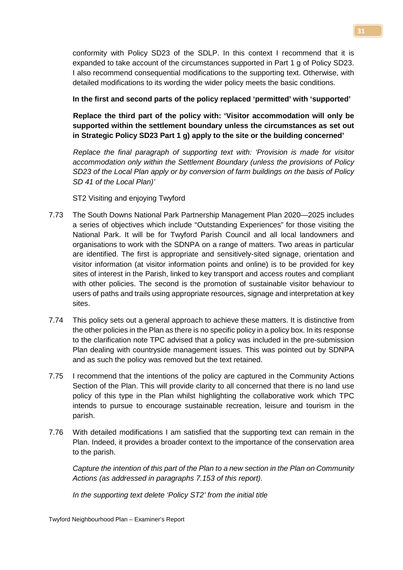conformity with Policy SD23 of the SDLP. In this context I recommend that it is expanded to take account of the circumstances supported in Part 1 g of Policy SD23. I also recommend consequential modifications to the supporting text. Otherwise, with detailed modifications to its wording the wider policy meets the basic conditions.

## **In the first and second parts of the policy replaced 'permitted' with 'supported'**

**Replace the third part of the policy with: 'Visitor accommodation will only be supported within the settlement boundary unless the circumstances as set out in Strategic Policy SD23 Part 1 g) apply to the site or the building concerned'**

*Replace the final paragraph of supporting text with: 'Provision is made for visitor accommodation only within the Settlement Boundary (unless the provisions of Policy SD23 of the Local Plan apply or by conversion of farm buildings on the basis of Policy SD 41 of the Local Plan)'*

ST2 Visiting and enjoying Twyford

- 7.73 The South Downs National Park Partnership Management Plan 2020—2025 includes a series of objectives which include "Outstanding Experiences" for those visiting the National Park. It will be for Twyford Parish Council and all local landowners and organisations to work with the SDNPA on a range of matters. Two areas in particular are identified. The first is appropriate and sensitively-sited signage, orientation and visitor information (at visitor information points and online) is to be provided for key sites of interest in the Parish, linked to key transport and access routes and compliant with other policies. The second is the promotion of sustainable visitor behaviour to users of paths and trails using appropriate resources, signage and interpretation at key sites.
- 7.74 This policy sets out a general approach to achieve these matters. It is distinctive from the other policies in the Plan as there is no specific policy in a policy box. In its response to the clarification note TPC advised that a policy was included in the pre-submission Plan dealing with countryside management issues. This was pointed out by SDNPA and as such the policy was removed but the text retained.
- 7.75 I recommend that the intentions of the policy are captured in the Community Actions Section of the Plan. This will provide clarity to all concerned that there is no land use policy of this type in the Plan whilst highlighting the collaborative work which TPC intends to pursue to encourage sustainable recreation, leisure and tourism in the parish.
- 7.76 With detailed modifications I am satisfied that the supporting text can remain in the Plan. Indeed, it provides a broader context to the importance of the conservation area to the parish.

*Capture the intention of this part of the Plan to a new section in the Plan on Community Actions (as addressed in paragraphs 7.153 of this report).* 

*In the supporting text delete 'Policy ST2' from the initial title*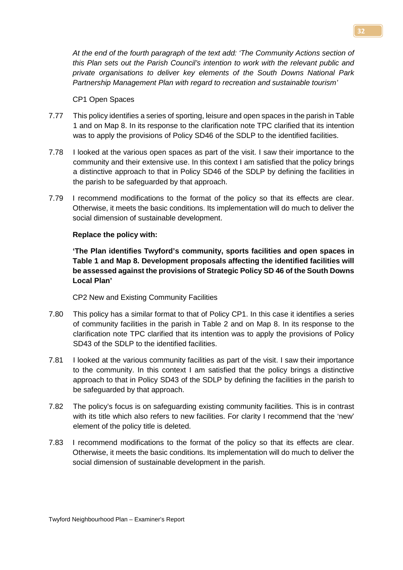*At the end of the fourth paragraph of the text add: 'The Community Actions section of this Plan sets out the Parish Council's intention to work with the relevant public and private organisations to deliver key elements of the South Downs National Park Partnership Management Plan with regard to recreation and sustainable tourism'*

#### CP1 Open Spaces

- 7.77 This policy identifies a series of sporting, leisure and open spaces in the parish in Table 1 and on Map 8. In its response to the clarification note TPC clarified that its intention was to apply the provisions of Policy SD46 of the SDLP to the identified facilities.
- 7.78 I looked at the various open spaces as part of the visit. I saw their importance to the community and their extensive use. In this context I am satisfied that the policy brings a distinctive approach to that in Policy SD46 of the SDLP by defining the facilities in the parish to be safeguarded by that approach.
- 7.79 I recommend modifications to the format of the policy so that its effects are clear. Otherwise, it meets the basic conditions. Its implementation will do much to deliver the social dimension of sustainable development.

### **Replace the policy with:**

**'The Plan identifies Twyford's community, sports facilities and open spaces in Table 1 and Map 8. Development proposals affecting the identified facilities will be assessed against the provisions of Strategic Policy SD 46 of the South Downs Local Plan'**

CP2 New and Existing Community Facilities

- 7.80 This policy has a similar format to that of Policy CP1. In this case it identifies a series of community facilities in the parish in Table 2 and on Map 8. In its response to the clarification note TPC clarified that its intention was to apply the provisions of Policy SD43 of the SDLP to the identified facilities.
- 7.81 I looked at the various community facilities as part of the visit. I saw their importance to the community. In this context I am satisfied that the policy brings a distinctive approach to that in Policy SD43 of the SDLP by defining the facilities in the parish to be safeguarded by that approach.
- 7.82 The policy's focus is on safeguarding existing community facilities. This is in contrast with its title which also refers to new facilities. For clarity I recommend that the 'new' element of the policy title is deleted.
- 7.83 I recommend modifications to the format of the policy so that its effects are clear. Otherwise, it meets the basic conditions. Its implementation will do much to deliver the social dimension of sustainable development in the parish.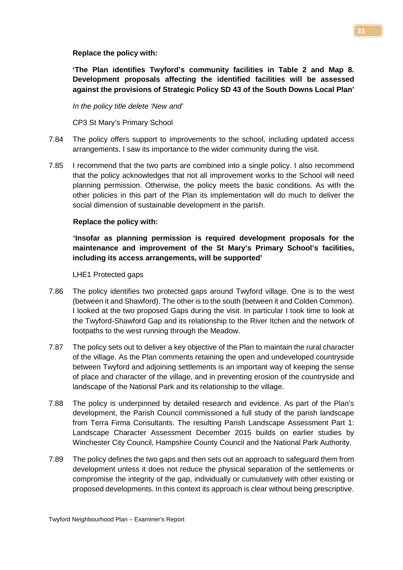### **Replace the policy with:**

**'The Plan identifies Twyford's community facilities in Table 2 and Map 8. Development proposals affecting the identified facilities will be assessed against the provisions of Strategic Policy SD 43 of the South Downs Local Plan'**

*In the policy title delete 'New and'* 

CP3 St Mary's Primary School

- 7.84 The policy offers support to improvements to the school, including updated access arrangements. I saw its importance to the wider community during the visit.
- 7.85 I recommend that the two parts are combined into a single policy. I also recommend that the policy acknowledges that not all improvement works to the School will need planning permission. Otherwise, the policy meets the basic conditions. As with the other policies in this part of the Plan its implementation will do much to deliver the social dimension of sustainable development in the parish.

# **Replace the policy with:**

**'Insofar as planning permission is required development proposals for the maintenance and improvement of the St Mary's Primary School's facilities, including its access arrangements, will be supported'**

LHE1 Protected gaps

- 7.86 The policy identifies two protected gaps around Twyford village. One is to the west (between it and Shawford). The other is to the south (between it and Colden Common). I looked at the two proposed Gaps during the visit. In particular I took time to look at the Twyford-Shawford Gap and its relationship to the River Itchen and the network of footpaths to the west running through the Meadow.
- 7.87 The policy sets out to deliver a key objective of the Plan to maintain the rural character of the village. As the Plan comments retaining the open and undeveloped countryside between Twyford and adjoining settlements is an important way of keeping the sense of place and character of the village, and in preventing erosion of the countryside and landscape of the National Park and its relationship to the village.
- 7.88 The policy is underpinned by detailed research and evidence. As part of the Plan's development, the Parish Council commissioned a full study of the parish landscape from Terra Firma Consultants. The resulting Parish Landscape Assessment Part 1: Landscape Character Assessment December 2015 builds on earlier studies by Winchester City Council, Hampshire County Council and the National Park Authority.
- 7.89 The policy defines the two gaps and then sets out an approach to safeguard them from development unless it does not reduce the physical separation of the settlements or compromise the integrity of the gap, individually or cumulatively with other existing or proposed developments. In this context its approach is clear without being prescriptive.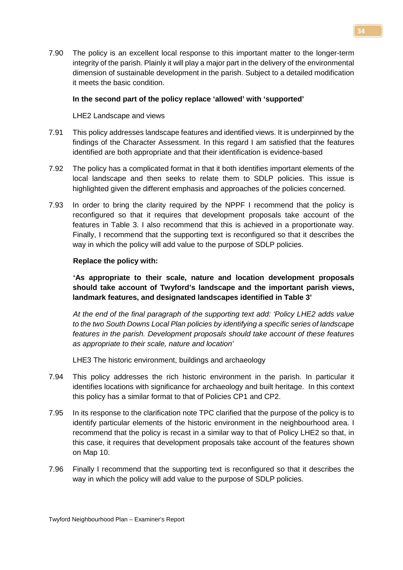7.90 The policy is an excellent local response to this important matter to the longer-term integrity of the parish. Plainly it will play a major part in the delivery of the environmental dimension of sustainable development in the parish. Subject to a detailed modification it meets the basic condition.

### **In the second part of the policy replace 'allowed' with 'supported'**

LHE2 Landscape and views

- 7.91 This policy addresses landscape features and identified views. It is underpinned by the findings of the Character Assessment. In this regard I am satisfied that the features identified are both appropriate and that their identification is evidence-based
- 7.92 The policy has a complicated format in that it both identifies important elements of the local landscape and then seeks to relate them to SDLP policies. This issue is highlighted given the different emphasis and approaches of the policies concerned.
- 7.93 In order to bring the clarity required by the NPPF I recommend that the policy is reconfigured so that it requires that development proposals take account of the features in Table 3. I also recommend that this is achieved in a proportionate way. Finally, I recommend that the supporting text is reconfigured so that it describes the way in which the policy will add value to the purpose of SDLP policies.

### **Replace the policy with:**

**'As appropriate to their scale, nature and location development proposals should take account of Twyford's landscape and the important parish views, landmark features, and designated landscapes identified in Table 3'**

*At the end of the final paragraph of the supporting text add: 'Policy LHE2 adds value to the two South Downs Local Plan policies by identifying a specific series of landscape features in the parish. Development proposals should take account of these features as appropriate to their scale, nature and location'*

LHE3 The historic environment, buildings and archaeology

- 7.94 This policy addresses the rich historic environment in the parish. In particular it identifies locations with significance for archaeology and built heritage. In this context this policy has a similar format to that of Policies CP1 and CP2.
- 7.95 In its response to the clarification note TPC clarified that the purpose of the policy is to identify particular elements of the historic environment in the neighbourhood area. I recommend that the policy is recast in a similar way to that of Policy LHE2 so that, in this case, it requires that development proposals take account of the features shown on Map 10.
- 7.96 Finally I recommend that the supporting text is reconfigured so that it describes the way in which the policy will add value to the purpose of SDLP policies.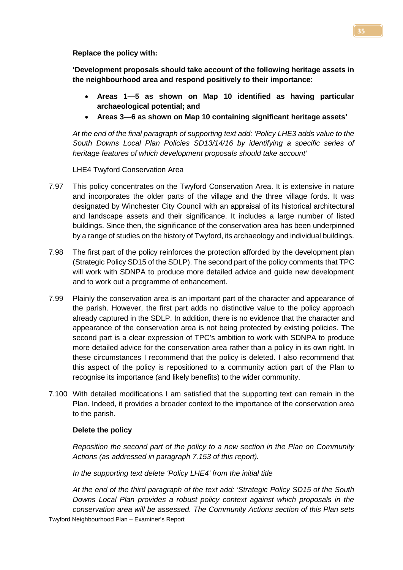**Replace the policy with:** 

**'Development proposals should take account of the following heritage assets in the neighbourhood area and respond positively to their importance**:

- **Areas 1—5 as shown on Map 10 identified as having particular archaeological potential; and**
- **Areas 3—6 as shown on Map 10 containing significant heritage assets'**

*At the end of the final paragraph of supporting text add: 'Policy LHE3 adds value to the South Downs Local Plan Policies SD13/14/16 by identifying a specific series of heritage features of which development proposals should take account'*

LHE4 Twyford Conservation Area

- 7.97 This policy concentrates on the Twyford Conservation Area. It is extensive in nature and incorporates the older parts of the village and the three village fords. It was designated by Winchester City Council with an appraisal of its historical architectural and landscape assets and their significance. It includes a large number of listed buildings. Since then, the significance of the conservation area has been underpinned by a range of studies on the history of Twyford, its archaeology and individual buildings.
- 7.98 The first part of the policy reinforces the protection afforded by the development plan (Strategic Policy SD15 of the SDLP). The second part of the policy comments that TPC will work with SDNPA to produce more detailed advice and guide new development and to work out a programme of enhancement.
- 7.99 Plainly the conservation area is an important part of the character and appearance of the parish. However, the first part adds no distinctive value to the policy approach already captured in the SDLP. In addition, there is no evidence that the character and appearance of the conservation area is not being protected by existing policies. The second part is a clear expression of TPC's ambition to work with SDNPA to produce more detailed advice for the conservation area rather than a policy in its own right. In these circumstances I recommend that the policy is deleted. I also recommend that this aspect of the policy is repositioned to a community action part of the Plan to recognise its importance (and likely benefits) to the wider community.
- 7.100 With detailed modifications I am satisfied that the supporting text can remain in the Plan. Indeed, it provides a broader context to the importance of the conservation area to the parish.

### **Delete the policy**

*Reposition the second part of the policy to a new section in the Plan on Community Actions (as addressed in paragraph 7.153 of this report).* 

*In the supporting text delete 'Policy LHE4' from the initial title*

Twyford Neighbourhood Plan – Examiner's Report *At the end of the third paragraph of the text add: 'Strategic Policy SD15 of the South Downs Local Plan provides a robust policy context against which proposals in the conservation area will be assessed. The Community Actions section of this Plan sets*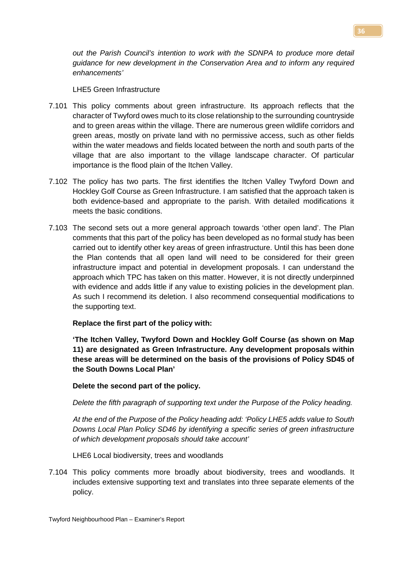*out the Parish Council's intention to work with the SDNPA to produce more detail guidance for new development in the Conservation Area and to inform any required enhancements'*

LHE5 Green Infrastructure

- 7.101 This policy comments about green infrastructure. Its approach reflects that the character of Twyford owes much to its close relationship to the surrounding countryside and to green areas within the village. There are numerous green wildlife corridors and green areas, mostly on private land with no permissive access, such as other fields within the water meadows and fields located between the north and south parts of the village that are also important to the village landscape character. Of particular importance is the flood plain of the Itchen Valley.
- 7.102 The policy has two parts. The first identifies the Itchen Valley Twyford Down and Hockley Golf Course as Green Infrastructure. I am satisfied that the approach taken is both evidence-based and appropriate to the parish. With detailed modifications it meets the basic conditions.
- 7.103 The second sets out a more general approach towards 'other open land'. The Plan comments that this part of the policy has been developed as no formal study has been carried out to identify other key areas of green infrastructure. Until this has been done the Plan contends that all open land will need to be considered for their green infrastructure impact and potential in development proposals. I can understand the approach which TPC has taken on this matter. However, it is not directly underpinned with evidence and adds little if any value to existing policies in the development plan. As such I recommend its deletion. I also recommend consequential modifications to the supporting text.

### **Replace the first part of the policy with:**

**'The Itchen Valley, Twyford Down and Hockley Golf Course (as shown on Map 11) are designated as Green Infrastructure. Any development proposals within these areas will be determined on the basis of the provisions of Policy SD45 of the South Downs Local Plan'**

### **Delete the second part of the policy.**

*Delete the fifth paragraph of supporting text under the Purpose of the Policy heading.*

*At the end of the Purpose of the Policy heading add: 'Policy LHE5 adds value to South Downs Local Plan Policy SD46 by identifying a specific series of green infrastructure of which development proposals should take account'*

LHE6 Local biodiversity, trees and woodlands

7.104 This policy comments more broadly about biodiversity, trees and woodlands. It includes extensive supporting text and translates into three separate elements of the policy.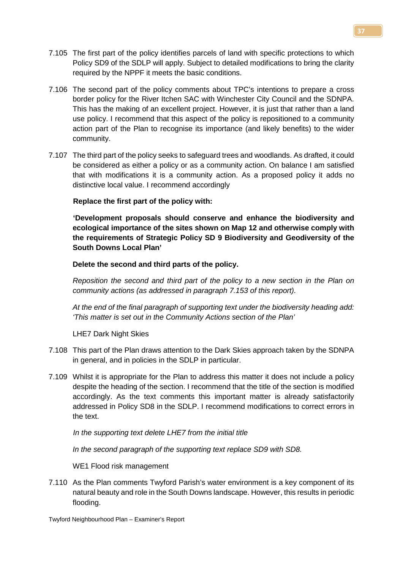- 7.105 The first part of the policy identifies parcels of land with specific protections to which Policy SD9 of the SDLP will apply. Subject to detailed modifications to bring the clarity required by the NPPF it meets the basic conditions.
- 7.106 The second part of the policy comments about TPC's intentions to prepare a cross border policy for the River Itchen SAC with Winchester City Council and the SDNPA. This has the making of an excellent project. However, it is just that rather than a land use policy. I recommend that this aspect of the policy is repositioned to a community action part of the Plan to recognise its importance (and likely benefits) to the wider community.
- 7.107 The third part of the policy seeks to safeguard trees and woodlands. As drafted, it could be considered as either a policy or as a community action. On balance I am satisfied that with modifications it is a community action. As a proposed policy it adds no distinctive local value. I recommend accordingly

**Replace the first part of the policy with:** 

**'Development proposals should conserve and enhance the biodiversity and ecological importance of the sites shown on Map 12 and otherwise comply with the requirements of Strategic Policy SD 9 Biodiversity and Geodiversity of the South Downs Local Plan'**

**Delete the second and third parts of the policy.**

*Reposition the second and third part of the policy to a new section in the Plan on community actions (as addressed in paragraph 7.153 of this report).* 

*At the end of the final paragraph of supporting text under the biodiversity heading add: 'This matter is set out in the Community Actions section of the Plan'*

LHE7 Dark Night Skies

- 7.108 This part of the Plan draws attention to the Dark Skies approach taken by the SDNPA in general, and in policies in the SDLP in particular.
- 7.109 Whilst it is appropriate for the Plan to address this matter it does not include a policy despite the heading of the section. I recommend that the title of the section is modified accordingly. As the text comments this important matter is already satisfactorily addressed in Policy SD8 in the SDLP. I recommend modifications to correct errors in the text.

*In the supporting text delete LHE7 from the initial title*

*In the second paragraph of the supporting text replace SD9 with SD8.* 

WE1 Flood risk management

7.110 As the Plan comments Twyford Parish's water environment is a key component of its natural beauty and role in the South Downs landscape. However, this results in periodic flooding.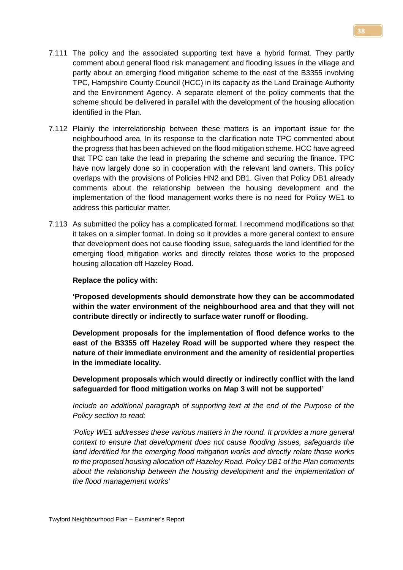- 7.111 The policy and the associated supporting text have a hybrid format. They partly comment about general flood risk management and flooding issues in the village and partly about an emerging flood mitigation scheme to the east of the B3355 involving TPC, Hampshire County Council (HCC) in its capacity as the Land Drainage Authority and the Environment Agency. A separate element of the policy comments that the scheme should be delivered in parallel with the development of the housing allocation identified in the Plan.
- 7.112 Plainly the interrelationship between these matters is an important issue for the neighbourhood area. In its response to the clarification note TPC commented about the progress that has been achieved on the flood mitigation scheme. HCC have agreed that TPC can take the lead in preparing the scheme and securing the finance. TPC have now largely done so in cooperation with the relevant land owners. This policy overlaps with the provisions of Policies HN2 and DB1. Given that Policy DB1 already comments about the relationship between the housing development and the implementation of the flood management works there is no need for Policy WE1 to address this particular matter.
- 7.113 As submitted the policy has a complicated format. I recommend modifications so that it takes on a simpler format. In doing so it provides a more general context to ensure that development does not cause flooding issue, safeguards the land identified for the emerging flood mitigation works and directly relates those works to the proposed housing allocation off Hazeley Road.

### **Replace the policy with:**

**'Proposed developments should demonstrate how they can be accommodated within the water environment of the neighbourhood area and that they will not contribute directly or indirectly to surface water runoff or flooding.**

**Development proposals for the implementation of flood defence works to the east of the B3355 off Hazeley Road will be supported where they respect the nature of their immediate environment and the amenity of residential properties in the immediate locality.** 

**Development proposals which would directly or indirectly conflict with the land safeguarded for flood mitigation works on Map 3 will not be supported'** 

*Include an additional paragraph of supporting text at the end of the Purpose of the Policy section to read:*

*'Policy WE1 addresses these various matters in the round. It provides a more general context to ensure that development does not cause flooding issues, safeguards the land identified for the emerging flood mitigation works and directly relate those works to the proposed housing allocation off Hazeley Road. Policy DB1 of the Plan comments about the relationship between the housing development and the implementation of the flood management works'*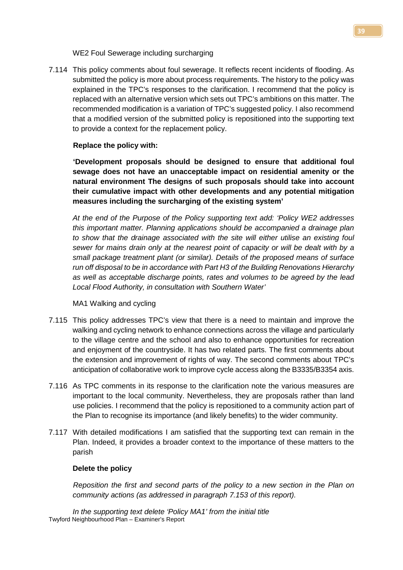WE2 Foul Sewerage including surcharging

7.114 This policy comments about foul sewerage. It reflects recent incidents of flooding. As submitted the policy is more about process requirements. The history to the policy was explained in the TPC's responses to the clarification. I recommend that the policy is replaced with an alternative version which sets out TPC's ambitions on this matter. The recommended modification is a variation of TPC's suggested policy. I also recommend that a modified version of the submitted policy is repositioned into the supporting text to provide a context for the replacement policy.

### **Replace the policy with:**

**'Development proposals should be designed to ensure that additional foul sewage does not have an unacceptable impact on residential amenity or the natural environment The designs of such proposals should take into account their cumulative impact with other developments and any potential mitigation measures including the surcharging of the existing system'**

*At the end of the Purpose of the Policy supporting text add: 'Policy WE2 addresses this important matter. Planning applications should be accompanied a drainage plan to show that the drainage associated with the site will either utilise an existing foul sewer for mains drain only at the nearest point of capacity or will be dealt with by a small package treatment plant (or similar). Details of the proposed means of surface run off disposal to be in accordance with Part H3 of the Building Renovations Hierarchy as well as acceptable discharge points, rates and volumes to be agreed by the lead Local Flood Authority, in consultation with Southern Water'*

MA1 Walking and cycling

- 7.115 This policy addresses TPC's view that there is a need to maintain and improve the walking and cycling network to enhance connections across the village and particularly to the village centre and the school and also to enhance opportunities for recreation and enjoyment of the countryside. It has two related parts. The first comments about the extension and improvement of rights of way. The second comments about TPC's anticipation of collaborative work to improve cycle access along the B3335/B3354 axis.
- 7.116 As TPC comments in its response to the clarification note the various measures are important to the local community. Nevertheless, they are proposals rather than land use policies. I recommend that the policy is repositioned to a community action part of the Plan to recognise its importance (and likely benefits) to the wider community.
- 7.117 With detailed modifications I am satisfied that the supporting text can remain in the Plan. Indeed, it provides a broader context to the importance of these matters to the parish

#### **Delete the policy**

*Reposition the first and second parts of the policy to a new section in the Plan on community actions (as addressed in paragraph 7.153 of this report).* 

Twyford Neighbourhood Plan – Examiner's Report *In the supporting text delete 'Policy MA1' from the initial title*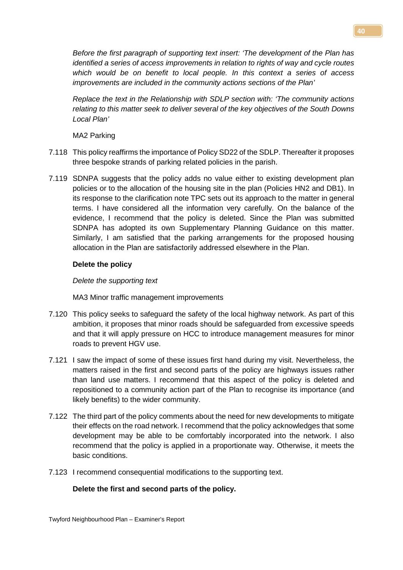**40**

*Before the first paragraph of supporting text insert: 'The development of the Plan has identified a series of access improvements in relation to rights of way and cycle routes which would be on benefit to local people. In this context a series of access improvements are included in the community actions sections of the Plan'*

*Replace the text in the Relationship with SDLP section with: 'The community actions relating to this matter seek to deliver several of the key objectives of the South Downs Local Plan'*

MA2 Parking

- 7.118 This policy reaffirms the importance of Policy SD22 of the SDLP. Thereafter it proposes three bespoke strands of parking related policies in the parish.
- 7.119 SDNPA suggests that the policy adds no value either to existing development plan policies or to the allocation of the housing site in the plan (Policies HN2 and DB1). In its response to the clarification note TPC sets out its approach to the matter in general terms. I have considered all the information very carefully. On the balance of the evidence, I recommend that the policy is deleted. Since the Plan was submitted SDNPA has adopted its own Supplementary Planning Guidance on this matter. Similarly, I am satisfied that the parking arrangements for the proposed housing allocation in the Plan are satisfactorily addressed elsewhere in the Plan.

# **Delete the policy**

# *Delete the supporting text*

MA3 Minor traffic management improvements

- 7.120 This policy seeks to safeguard the safety of the local highway network. As part of this ambition, it proposes that minor roads should be safeguarded from excessive speeds and that it will apply pressure on HCC to introduce management measures for minor roads to prevent HGV use.
- 7.121 I saw the impact of some of these issues first hand during my visit. Nevertheless, the matters raised in the first and second parts of the policy are highways issues rather than land use matters. I recommend that this aspect of the policy is deleted and repositioned to a community action part of the Plan to recognise its importance (and likely benefits) to the wider community.
- 7.122 The third part of the policy comments about the need for new developments to mitigate their effects on the road network. I recommend that the policy acknowledges that some development may be able to be comfortably incorporated into the network. I also recommend that the policy is applied in a proportionate way. Otherwise, it meets the basic conditions.
- 7.123 I recommend consequential modifications to the supporting text.

# **Delete the first and second parts of the policy.**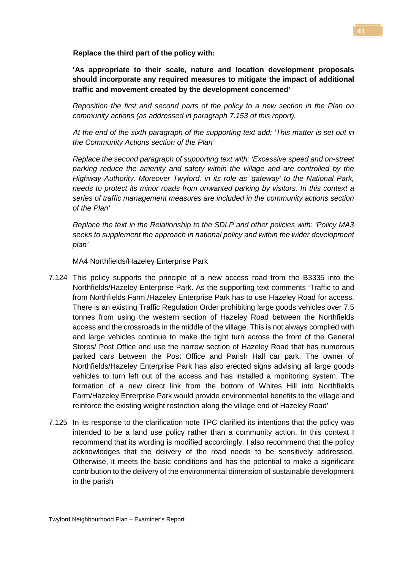**Replace the third part of the policy with:** 

**'As appropriate to their scale, nature and location development proposals should incorporate any required measures to mitigate the impact of additional traffic and movement created by the development concerned'**

*Reposition the first and second parts of the policy to a new section in the Plan on community actions (as addressed in paragraph 7.153 of this report).*

*At the end of the sixth paragraph of the supporting text add: 'This matter is set out in the Community Actions section of the Plan'*

*Replace the second paragraph of supporting text with: 'Excessive speed and on-street parking reduce the amenity and safety within the village and are controlled by the Highway Authority. Moreover Twyford, in its role as 'gateway' to the National Park, needs to protect its minor roads from unwanted parking by visitors. In this context a series of traffic management measures are included in the community actions section of the Plan'*

*Replace the text in the Relationship to the SDLP and other policies with: 'Policy MA3 seeks to supplement the approach in national policy and within the wider development plan'*

MA4 Northfields/Hazeley Enterprise Park

- 7.124 This policy supports the principle of a new access road from the B3335 into the Northfields/Hazeley Enterprise Park. As the supporting text comments 'Traffic to and from Northfields Farm /Hazeley Enterprise Park has to use Hazeley Road for access. There is an existing Traffic Regulation Order prohibiting large goods vehicles over 7.5 tonnes from using the western section of Hazeley Road between the Northfields access and the crossroads in the middle of the village. This is not always complied with and large vehicles continue to make the tight turn across the front of the General Stores/ Post Office and use the narrow section of Hazeley Road that has numerous parked cars between the Post Office and Parish Hall car park. The owner of Northfields/Hazeley Enterprise Park has also erected signs advising all large goods vehicles to turn left out of the access and has installed a monitoring system. The formation of a new direct link from the bottom of Whites Hill into Northfields Farm/Hazeley Enterprise Park would provide environmental benefits to the village and reinforce the existing weight restriction along the village end of Hazeley Road'
- 7.125 In its response to the clarification note TPC clarified its intentions that the policy was intended to be a land use policy rather than a community action. In this context I recommend that its wording is modified accordingly. I also recommend that the policy acknowledges that the delivery of the road needs to be sensitively addressed. Otherwise, it meets the basic conditions and has the potential to make a significant contribution to the delivery of the environmental dimension of sustainable development in the parish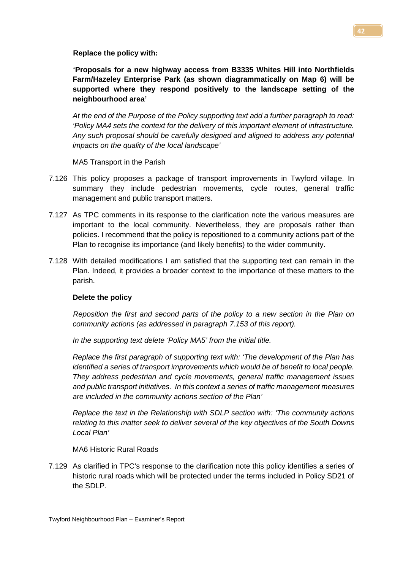**Replace the policy with:** 

**'Proposals for a new highway access from B3335 Whites Hill into Northfields Farm/Hazeley Enterprise Park (as shown diagrammatically on Map 6) will be supported where they respond positively to the landscape setting of the neighbourhood area'**

*At the end of the Purpose of the Policy supporting text add a further paragraph to read: 'Policy MA4 sets the context for the delivery of this important element of infrastructure. Any such proposal should be carefully designed and aligned to address any potential impacts on the quality of the local landscape'* 

MA5 Transport in the Parish

- 7.126 This policy proposes a package of transport improvements in Twyford village. In summary they include pedestrian movements, cycle routes, general traffic management and public transport matters.
- 7.127 As TPC comments in its response to the clarification note the various measures are important to the local community. Nevertheless, they are proposals rather than policies. I recommend that the policy is repositioned to a community actions part of the Plan to recognise its importance (and likely benefits) to the wider community.
- 7.128 With detailed modifications I am satisfied that the supporting text can remain in the Plan. Indeed, it provides a broader context to the importance of these matters to the parish.

#### **Delete the policy**

*Reposition the first and second parts of the policy to a new section in the Plan on community actions (as addressed in paragraph 7.153 of this report).* 

*In the supporting text delete 'Policy MA5' from the initial title.*

*Replace the first paragraph of supporting text with: 'The development of the Plan has identified a series of transport improvements which would be of benefit to local people. They address pedestrian and cycle movements, general traffic management issues and public transport initiatives. In this context a series of traffic management measures are included in the community actions section of the Plan'*

*Replace the text in the Relationship with SDLP section with: 'The community actions relating to this matter seek to deliver several of the key objectives of the South Downs Local Plan'*

MA6 Historic Rural Roads

7.129 As clarified in TPC's response to the clarification note this policy identifies a series of historic rural roads which will be protected under the terms included in Policy SD21 of the SDLP.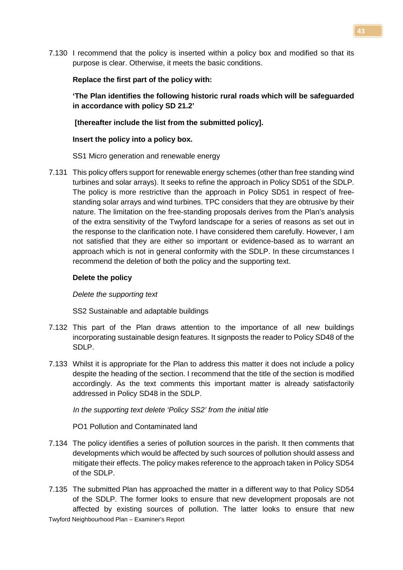7.130 I recommend that the policy is inserted within a policy box and modified so that its purpose is clear. Otherwise, it meets the basic conditions.

## **Replace the first part of the policy with:**

**'The Plan identifies the following historic rural roads which will be safeguarded in accordance with policy SD 21.2'**

**[thereafter include the list from the submitted policy].**

# **Insert the policy into a policy box.**

SS1 Micro generation and renewable energy

7.131 This policy offers support for renewable energy schemes (other than free standing wind turbines and solar arrays). It seeks to refine the approach in Policy SD51 of the SDLP. The policy is more restrictive than the approach in Policy SD51 in respect of freestanding solar arrays and wind turbines. TPC considers that they are obtrusive by their nature. The limitation on the free-standing proposals derives from the Plan's analysis of the extra sensitivity of the Twyford landscape for a series of reasons as set out in the response to the clarification note. I have considered them carefully. However, I am not satisfied that they are either so important or evidence-based as to warrant an approach which is not in general conformity with the SDLP. In these circumstances I recommend the deletion of both the policy and the supporting text.

# **Delete the policy**

*Delete the supporting text*

SS2 Sustainable and adaptable buildings

- 7.132 This part of the Plan draws attention to the importance of all new buildings incorporating sustainable design features. It signposts the reader to Policy SD48 of the SDLP.
- 7.133 Whilst it is appropriate for the Plan to address this matter it does not include a policy despite the heading of the section. I recommend that the title of the section is modified accordingly. As the text comments this important matter is already satisfactorily addressed in Policy SD48 in the SDLP.

*In the supporting text delete 'Policy SS2' from the initial title*

PO1 Pollution and Contaminated land

- 7.134 The policy identifies a series of pollution sources in the parish. It then comments that developments which would be affected by such sources of pollution should assess and mitigate their effects. The policy makes reference to the approach taken in Policy SD54 of the SDLP.
- Twyford Neighbourhood Plan Examiner's Report 7.135 The submitted Plan has approached the matter in a different way to that Policy SD54 of the SDLP. The former looks to ensure that new development proposals are not affected by existing sources of pollution. The latter looks to ensure that new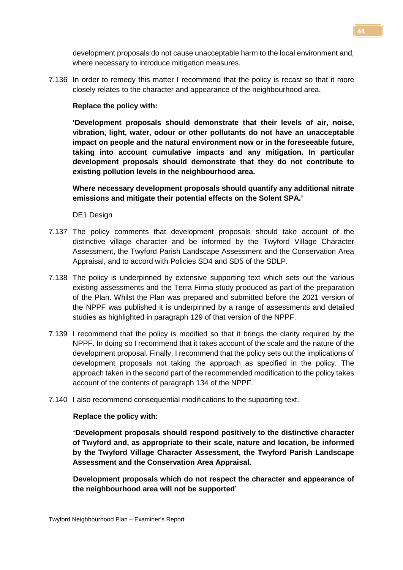development proposals do not cause unacceptable harm to the local environment and, where necessary to introduce mitigation measures.

7.136 In order to remedy this matter I recommend that the policy is recast so that it more closely relates to the character and appearance of the neighbourhood area.

### **Replace the policy with:**

**'Development proposals should demonstrate that their levels of air, noise, vibration, light, water, odour or other pollutants do not have an unacceptable impact on people and the natural environment now or in the foreseeable future, taking into account cumulative impacts and any mitigation. In particular development proposals should demonstrate that they do not contribute to existing pollution levels in the neighbourhood area.**

**Where necessary development proposals should quantify any additional nitrate emissions and mitigate their potential effects on the Solent SPA.'**

DE1 Design

- 7.137 The policy comments that development proposals should take account of the distinctive village character and be informed by the Twyford Village Character Assessment, the Twyford Parish Landscape Assessment and the Conservation Area Appraisal, and to accord with Policies SD4 and SD5 of the SDLP.
- 7.138 The policy is underpinned by extensive supporting text which sets out the various existing assessments and the Terra Firma study produced as part of the preparation of the Plan. Whilst the Plan was prepared and submitted before the 2021 version of the NPPF was published it is underpinned by a range of assessments and detailed studies as highlighted in paragraph 129 of that version of the NPPF.
- 7.139 I recommend that the policy is modified so that it brings the clarity required by the NPPF. In doing so I recommend that it takes account of the scale and the nature of the development proposal. Finally, I recommend that the policy sets out the implications of development proposals not taking the approach as specified in the policy. The approach taken in the second part of the recommended modification to the policy takes account of the contents of paragraph 134 of the NPPF.
- 7.140 I also recommend consequential modifications to the supporting text.

#### **Replace the policy with:**

**'Development proposals should respond positively to the distinctive character of Twyford and, as appropriate to their scale, nature and location, be informed by the Twyford Village Character Assessment, the Twyford Parish Landscape Assessment and the Conservation Area Appraisal.**

**Development proposals which do not respect the character and appearance of the neighbourhood area will not be supported'**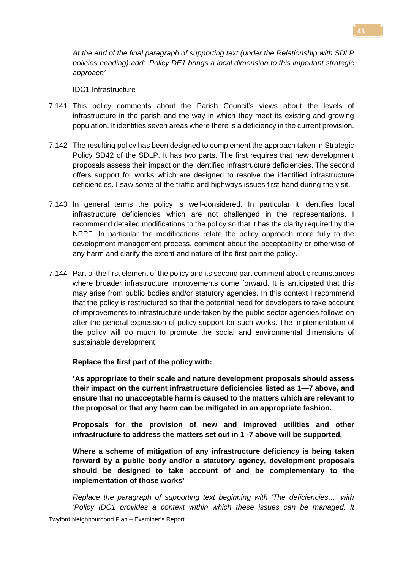*At the end of the final paragraph of supporting text (under the Relationship with SDLP policies heading) add: 'Policy DE1 brings a local dimension to this important strategic approach'*

IDC1 Infrastructure

- 7.141 This policy comments about the Parish Council's views about the levels of infrastructure in the parish and the way in which they meet its existing and growing population. It identifies seven areas where there is a deficiency in the current provision.
- 7.142 The resulting policy has been designed to complement the approach taken in Strategic Policy SD42 of the SDLP. It has two parts. The first requires that new development proposals assess their impact on the identified infrastructure deficiencies. The second offers support for works which are designed to resolve the identified infrastructure deficiencies. I saw some of the traffic and highways issues first-hand during the visit.
- 7.143 In general terms the policy is well-considered. In particular it identifies local infrastructure deficiencies which are not challenged in the representations. I recommend detailed modifications to the policy so that it has the clarity required by the NPPF. In particular the modifications relate the policy approach more fully to the development management process, comment about the acceptability or otherwise of any harm and clarify the extent and nature of the first part the policy.
- 7.144 Part of the first element of the policy and its second part comment about circumstances where broader infrastructure improvements come forward. It is anticipated that this may arise from public bodies and/or statutory agencies. In this context I recommend that the policy is restructured so that the potential need for developers to take account of improvements to infrastructure undertaken by the public sector agencies follows on after the general expression of policy support for such works. The implementation of the policy will do much to promote the social and environmental dimensions of sustainable development.

**Replace the first part of the policy with:**

**'As appropriate to their scale and nature development proposals should assess their impact on the current infrastructure deficiencies listed as 1—7 above, and ensure that no unacceptable harm is caused to the matters which are relevant to the proposal or that any harm can be mitigated in an appropriate fashion.**

**Proposals for the provision of new and improved utilities and other infrastructure to address the matters set out in 1 -7 above will be supported.**

**Where a scheme of mitigation of any infrastructure deficiency is being taken forward by a public body and/or a statutory agency, development proposals should be designed to take account of and be complementary to the implementation of those works'**

*Replace the paragraph of supporting text beginning with 'The deficiencies…' with 'Policy IDC1 provides a context within which these issues can be managed. It*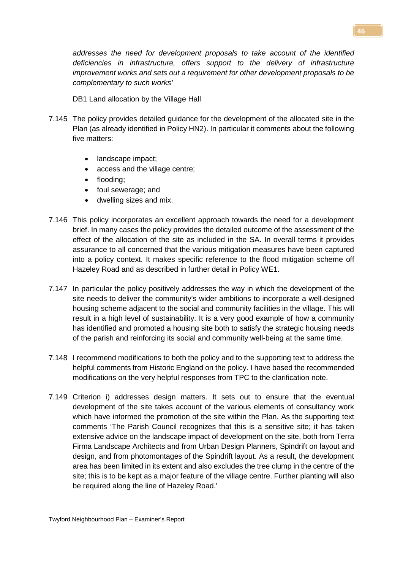*addresses the need for development proposals to take account of the identified deficiencies in infrastructure, offers support to the delivery of infrastructure improvement works and sets out a requirement for other development proposals to be complementary to such works'*

DB1 Land allocation by the Village Hall

- 7.145 The policy provides detailed guidance for the development of the allocated site in the Plan (as already identified in Policy HN2). In particular it comments about the following five matters:
	- landscape impact;
	- access and the village centre:
	- flooding;
	- foul sewerage; and
	- dwelling sizes and mix.
- 7.146 This policy incorporates an excellent approach towards the need for a development brief. In many cases the policy provides the detailed outcome of the assessment of the effect of the allocation of the site as included in the SA. In overall terms it provides assurance to all concerned that the various mitigation measures have been captured into a policy context. It makes specific reference to the flood mitigation scheme off Hazeley Road and as described in further detail in Policy WE1.
- 7.147 In particular the policy positively addresses the way in which the development of the site needs to deliver the community's wider ambitions to incorporate a well-designed housing scheme adjacent to the social and community facilities in the village. This will result in a high level of sustainability. It is a very good example of how a community has identified and promoted a housing site both to satisfy the strategic housing needs of the parish and reinforcing its social and community well-being at the same time.
- 7.148 I recommend modifications to both the policy and to the supporting text to address the helpful comments from Historic England on the policy. I have based the recommended modifications on the very helpful responses from TPC to the clarification note.
- 7.149 Criterion i) addresses design matters. It sets out to ensure that the eventual development of the site takes account of the various elements of consultancy work which have informed the promotion of the site within the Plan. As the supporting text comments 'The Parish Council recognizes that this is a sensitive site; it has taken extensive advice on the landscape impact of development on the site, both from Terra Firma Landscape Architects and from Urban Design Planners, Spindrift on layout and design, and from photomontages of the Spindrift layout. As a result, the development area has been limited in its extent and also excludes the tree clump in the centre of the site; this is to be kept as a major feature of the village centre. Further planting will also be required along the line of Hazeley Road.'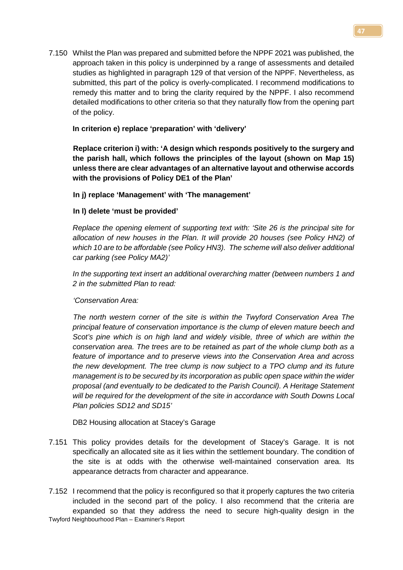7.150 Whilst the Plan was prepared and submitted before the NPPF 2021 was published, the approach taken in this policy is underpinned by a range of assessments and detailed studies as highlighted in paragraph 129 of that version of the NPPF. Nevertheless, as submitted, this part of the policy is overly-complicated. I recommend modifications to remedy this matter and to bring the clarity required by the NPPF. I also recommend detailed modifications to other criteria so that they naturally flow from the opening part of the policy.

# **In criterion e) replace 'preparation' with 'delivery'**

**Replace criterion i) with: 'A design which responds positively to the surgery and the parish hall, which follows the principles of the layout (shown on Map 15) unless there are clear advantages of an alternative layout and otherwise accords with the provisions of Policy DE1 of the Plan'**

### **In j) replace 'Management' with 'The management'**

# **In l) delete 'must be provided'**

*Replace the opening element of supporting text with: 'Site 26 is the principal site for allocation of new houses in the Plan. It will provide 20 houses (see Policy HN2) of which 10 are to be affordable (see Policy HN3). The scheme will also deliver additional car parking (see Policy MA2)'*

*In the supporting text insert an additional overarching matter (between numbers 1 and 2 in the submitted Plan to read:*

### *'Conservation Area:*

*The north western corner of the site is within the Twyford Conservation Area The principal feature of conservation importance is the clump of eleven mature beech and Scot's pine which is on high land and widely visible, three of which are within the conservation area. The trees are to be retained as part of the whole clump both as a feature of importance and to preserve views into the Conservation Area and across the new development. The tree clump is now subject to a TPO clump and its future management is to be secured by its incorporation as public open space within the wider proposal (and eventually to be dedicated to the Parish Council). A Heritage Statement will be required for the development of the site in accordance with South Downs Local Plan policies SD12 and SD15'*

DB2 Housing allocation at Stacey's Garage

- 7.151 This policy provides details for the development of Stacey's Garage. It is not specifically an allocated site as it lies within the settlement boundary. The condition of the site is at odds with the otherwise well-maintained conservation area. Its appearance detracts from character and appearance.
- Twyford Neighbourhood Plan Examiner's Report 7.152 I recommend that the policy is reconfigured so that it properly captures the two criteria included in the second part of the policy. I also recommend that the criteria are expanded so that they address the need to secure high-quality design in the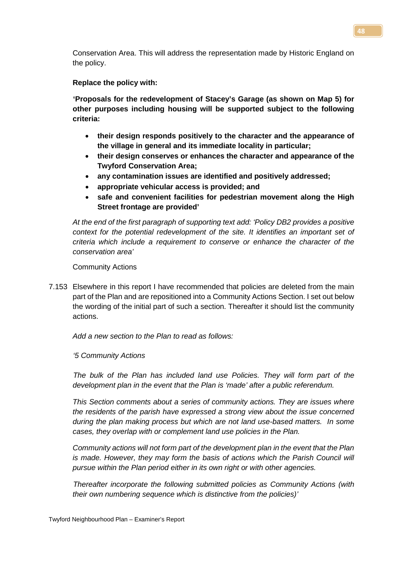Conservation Area. This will address the representation made by Historic England on the policy.

**Replace the policy with:**

**'Proposals for the redevelopment of Stacey's Garage (as shown on Map 5) for other purposes including housing will be supported subject to the following criteria:**

- **their design responds positively to the character and the appearance of the village in general and its immediate locality in particular;**
- **their design conserves or enhances the character and appearance of the Twyford Conservation Area;**
- **any contamination issues are identified and positively addressed;**
- **appropriate vehicular access is provided; and**
- **safe and convenient facilities for pedestrian movement along the High Street frontage are provided'**

*At the end of the first paragraph of supporting text add: 'Policy DB2 provides a positive context for the potential redevelopment of the site. It identifies an important set of criteria which include a requirement to conserve or enhance the character of the conservation area'*

Community Actions

7.153 Elsewhere in this report I have recommended that policies are deleted from the main part of the Plan and are repositioned into a Community Actions Section. I set out below the wording of the initial part of such a section. Thereafter it should list the community actions.

*Add a new section to the Plan to read as follows:*

*'5 Community Actions*

*The bulk of the Plan has included land use Policies. They will form part of the development plan in the event that the Plan is 'made' after a public referendum.* 

*This Section comments about a series of community actions. They are issues where the residents of the parish have expressed a strong view about the issue concerned during the plan making process but which are not land use-based matters. In some cases, they overlap with or complement land use policies in the Plan.* 

*Community actions will not form part of the development plan in the event that the Plan is made. However, they may form the basis of actions which the Parish Council will pursue within the Plan period either in its own right or with other agencies.* 

*Thereafter incorporate the following submitted policies as Community Actions (with their own numbering sequence which is distinctive from the policies)'*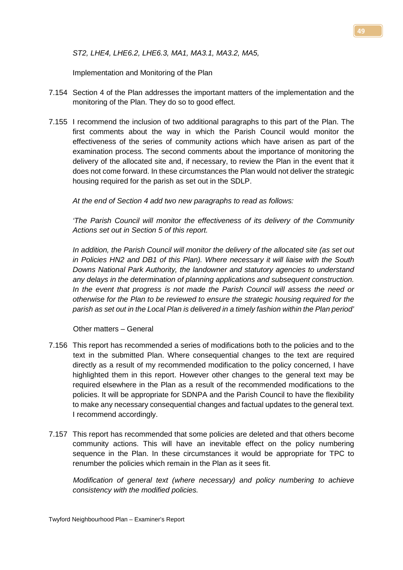*ST2, LHE4, LHE6.2, LHE6.3, MA1, MA3.1, MA3.2, MA5,*

Implementation and Monitoring of the Plan

- 7.154 Section 4 of the Plan addresses the important matters of the implementation and the monitoring of the Plan. They do so to good effect.
- 7.155 I recommend the inclusion of two additional paragraphs to this part of the Plan. The first comments about the way in which the Parish Council would monitor the effectiveness of the series of community actions which have arisen as part of the examination process. The second comments about the importance of monitoring the delivery of the allocated site and, if necessary, to review the Plan in the event that it does not come forward. In these circumstances the Plan would not deliver the strategic housing required for the parish as set out in the SDLP.

*At the end of Section 4 add two new paragraphs to read as follows:*

*'The Parish Council will monitor the effectiveness of its delivery of the Community Actions set out in Section 5 of this report.* 

*In addition, the Parish Council will monitor the delivery of the allocated site (as set out in Policies HN2 and DB1 of this Plan). Where necessary it will liaise with the South Downs National Park Authority, the landowner and statutory agencies to understand any delays in the determination of planning applications and subsequent construction. In the event that progress is not made the Parish Council will assess the need or otherwise for the Plan to be reviewed to ensure the strategic housing required for the parish as set out in the Local Plan is delivered in a timely fashion within the Plan period'*

Other matters – General

- 7.156 This report has recommended a series of modifications both to the policies and to the text in the submitted Plan. Where consequential changes to the text are required directly as a result of my recommended modification to the policy concerned, I have highlighted them in this report. However other changes to the general text may be required elsewhere in the Plan as a result of the recommended modifications to the policies. It will be appropriate for SDNPA and the Parish Council to have the flexibility to make any necessary consequential changes and factual updates to the general text. I recommend accordingly.
- 7.157 This report has recommended that some policies are deleted and that others become community actions. This will have an inevitable effect on the policy numbering sequence in the Plan. In these circumstances it would be appropriate for TPC to renumber the policies which remain in the Plan as it sees fit.

*Modification of general text (where necessary) and policy numbering to achieve consistency with the modified policies.*